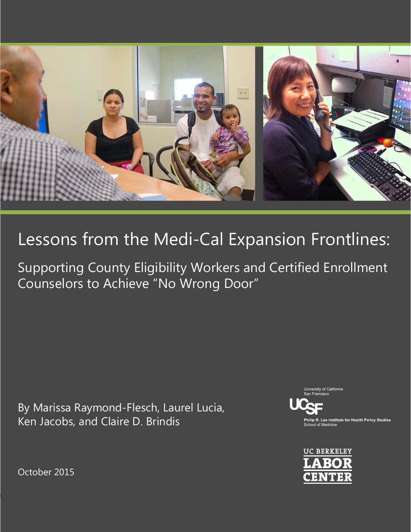

# Lessons from the Medi-Cal Expansion Frontlines:

Supporting County Eligibility Workers and Certified Enrollment Counselors to Achieve "No Wrong Door"

By Marissa Raymond-Flesch, Laurel Lucia, Ken Jacobs, and Claire D. Brindis





October 2015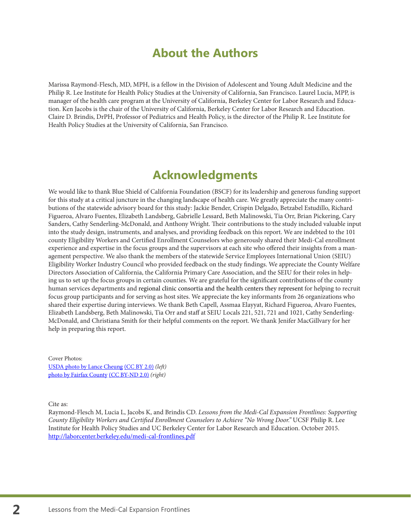# **About the Authors**

Marissa Raymond-Flesch, MD, MPH, is a fellow in the Division of Adolescent and Young Adult Medicine and the Philip R. Lee Institute for Health Policy Studies at the University of California, San Francisco. Laurel Lucia, MPP, is manager of the health care program at the University of California, Berkeley Center for Labor Research and Education. Ken Jacobs is the chair of the University of California, Berkeley Center for Labor Research and Education. Claire D. Brindis, DrPH, Professor of Pediatrics and Health Policy, is the director of the Philip R. Lee Institute for Health Policy Studies at the University of California, San Francisco.

# **Acknowledgments**

We would like to thank Blue Shield of California Foundation (BSCF) for its leadership and generous funding support for this study at a critical juncture in the changing landscape of health care. We greatly appreciate the many contributions of the statewide advisory board for this study: Jackie Bender, Crispin Delgado, Betzabel Estudillo, Richard Figueroa, Alvaro Fuentes, Elizabeth Landsberg, Gabrielle Lessard, Beth Malinowski, Tia Orr, Brian Pickering, Cary Sanders, Cathy Senderling-McDonald, and Anthony Wright. Their contributions to the study included valuable input into the study design, instruments, and analyses, and providing feedback on this report. We are indebted to the 101 county Eligibility Workers and Certified Enrollment Counselors who generously shared their Medi-Cal enrollment experience and expertise in the focus groups and the supervisors at each site who offered their insights from a management perspective. We also thank the members of the statewide Service Employees International Union (SEIU) Eligibility Worker Industry Council who provided feedback on the study findings. We appreciate the County Welfare Directors Association of California, the California Primary Care Association, and the SEIU for their roles in helping us to set up the focus groups in certain counties. We are grateful for the significant contributions of the county human services departments and regional clinic consortia and the health centers they represent for helping to recruit focus group participants and for serving as host sites. We appreciate the key informants from 26 organizations who shared their expertise during interviews. We thank Beth Capell, Assmaa Elayyat, Richard Figueroa, Alvaro Fuentes, Elizabeth Landsberg, Beth Malinowski, Tia Orr and staff at SEIU Locals 221, 521, 721 and 1021, Cathy Senderling-McDonald, and Christiana Smith for their helpful comments on the report. We thank Jenifer MacGillvary for her help in preparing this report.

Cover Photos: [USDA photo by Lance Cheung](https://www.flickr.com/photos/usdagov/6764060005) [\(CC BY 2.0\)](https://creativecommons.org/licenses/by/2.0/) *(left)* photo by [Fairfax County](https://www.flickr.com/photos/fairfaxcounty/6377111985) [\(CC BY-ND 2.0\)](https://creativecommons.org/licenses/by-nd/2.0/) *(right)*

Cite as:

Raymond-Flesch M, Lucia L, Jacobs K, and Brindis CD. *Lessons from the Medi-Cal Expansion Frontlines: Supporting County Eligibility Workers and Certified Enrollment Counselors to Achieve "No Wrong Door."* UCSF Philip R. Lee Institute for Health Policy Studies and UC Berkeley Center for Labor Research and Education. October 2015. [http://laborcenter.berkeley.edu/medi-cal-frontlines.pdf](http://laborcenter.berkeley.edu/medi-cal-frontlines.pdf
)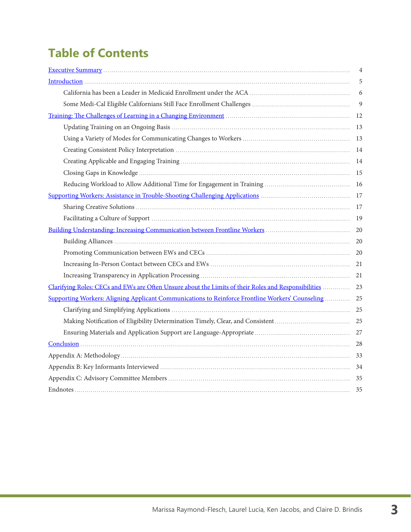# **Table of Contents**

|                                                                                                      | $\overline{4}$ |
|------------------------------------------------------------------------------------------------------|----------------|
|                                                                                                      | 5              |
|                                                                                                      | 6              |
|                                                                                                      | $\overline{9}$ |
|                                                                                                      | 12             |
|                                                                                                      | 13             |
|                                                                                                      | 13             |
|                                                                                                      | 14             |
|                                                                                                      |                |
|                                                                                                      | 15             |
|                                                                                                      | 16             |
| Supporting Workers: Assistance in Trouble-Shooting Challenging Applications                          | 17             |
|                                                                                                      | 17             |
|                                                                                                      | 19             |
| Building Understanding: Increasing Communication between Frontline Workers                           | 20             |
|                                                                                                      | 20             |
|                                                                                                      | 20             |
|                                                                                                      | 21             |
|                                                                                                      | 21             |
| Clarifying Roles: CECs and EWs are Often Unsure about the Limits of their Roles and Responsibilities | 23             |
| Supporting Workers: Aligning Applicant Communications to Reinforce Frontline Workers' Counseling     | 25             |
|                                                                                                      | 25             |
| Making Notification of Eligibility Determination Timely, Clear, and Consistent                       | 25             |
|                                                                                                      | 27             |
|                                                                                                      | 28             |
|                                                                                                      | 33             |
|                                                                                                      | 34             |
|                                                                                                      | 35             |
|                                                                                                      | 35             |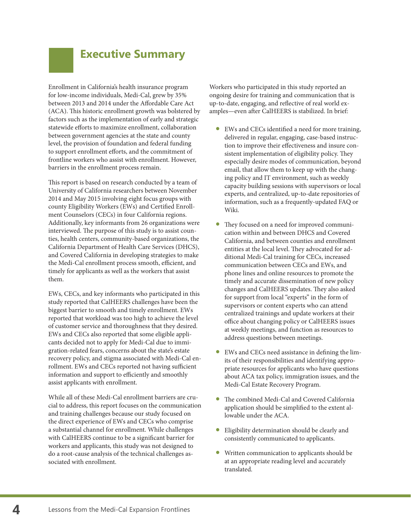# <span id="page-3-0"></span>**Executive Summary**

Enrollment in California's health insurance program for low-income individuals, Medi-Cal, grew by 35% between 2013 and 2014 under the Affordable Care Act (ACA). This historic enrollment growth was bolstered by factors such as the implementation of early and strategic statewide efforts to maximize enrollment, collaboration between government agencies at the state and county level, the provision of foundation and federal funding to support enrollment efforts, and the commitment of frontline workers who assist with enrollment. However, barriers in the enrollment process remain.

This report is based on research conducted by a team of University of California researchers between November 2014 and May 2015 involving eight focus groups with county Eligibility Workers (EWs) and Certified Enrollment Counselors (CECs) in four California regions. Additionally, key informants from 26 organizations were interviewed. The purpose of this study is to assist counties, health centers, community-based organizations, the California Department of Health Care Services (DHCS), and Covered California in developing strategies to make the Medi-Cal enrollment process smooth, efficient, and timely for applicants as well as the workers that assist them.

EWs, CECs, and key informants who participated in this study reported that CalHEERS challenges have been the biggest barrier to smooth and timely enrollment. EWs reported that workload was too high to achieve the level of customer service and thoroughness that they desired. EWs and CECs also reported that some eligible applicants decided not to apply for Medi-Cal due to immigration-related fears, concerns about the state's estate recovery policy, and stigma associated with Medi-Cal enrollment. EWs and CECs reported not having sufficient information and support to efficiently and smoothly assist applicants with enrollment.

While all of these Medi-Cal enrollment barriers are crucial to address, this report focuses on the communication and training challenges because our study focused on the direct experience of EWs and CECs who comprise a substantial channel for enrollment. While challenges with CalHEERS continue to be a significant barrier for workers and applicants, this study was not designed to do a root-cause analysis of the technical challenges associated with enrollment.

Workers who participated in this study reported an ongoing desire for training and communication that is up-to-date, engaging, and reflective of real world examples—even after CalHEERS is stabilized. In brief:

- EWs and CECs identified a need for more training, delivered in regular, engaging, case-based instruction to improve their effectiveness and insure consistent implementation of eligibility policy. They especially desire modes of communication, beyond email, that allow them to keep up with the changing policy and IT environment, such as weekly capacity building sessions with supervisors or local experts, and centralized, up-to-date repositories of information, such as a frequently-updated FAQ or Wiki.
- They focused on a need for improved communication within and between DHCS and Covered California, and between counties and enrollment entities at the local level. They advocated for additional Medi-Cal training for CECs, increased communication between CECs and EWs, and phone lines and online resources to promote the timely and accurate dissemination of new policy changes and CalHEERS updates. They also asked for support from local "experts" in the form of supervisors or content experts who can attend centralized trainings and update workers at their office about changing policy or CalHEERS issues at weekly meetings, and function as resources to address questions between meetings.
- EWs and CECs need assistance in defining the limits of their responsibilities and identifying appropriate resources for applicants who have questions about ACA tax policy, immigration issues, and the Medi-Cal Estate Recovery Program.
- The combined Medi-Cal and Covered California application should be simplified to the extent allowable under the ACA.
- Eligibility determination should be clearly and consistently communicated to applicants.
- Written communication to applicants should be at an appropriate reading level and accurately translated.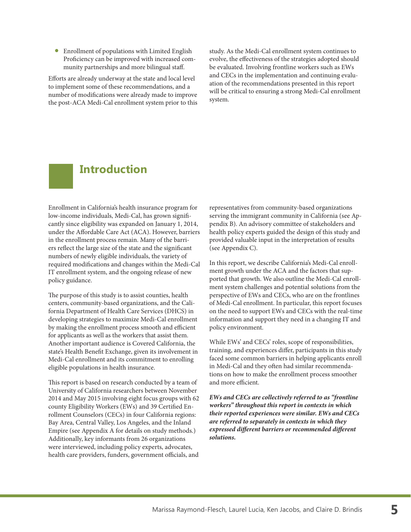• Enrollment of populations with Limited English Proficiency can be improved with increased community partnerships and more bilingual staff.

Efforts are already underway at the state and local level to implement some of these recommendations, and a number of modifications were already made to improve the post-ACA Medi-Cal enrollment system prior to this study. As the Medi-Cal enrollment system continues to evolve, the effectiveness of the strategies adopted should be evaluated. Involving frontline workers such as EWs and CECs in the implementation and continuing evaluation of the recommendations presented in this report will be critical to ensuring a strong Medi-Cal enrollment system.

# <span id="page-4-0"></span>**Introduction**

Enrollment in California's health insurance program for low-income individuals, Medi-Cal, has grown significantly since eligibility was expanded on January 1, 2014, under the Affordable Care Act (ACA). However, barriers in the enrollment process remain. Many of the barriers reflect the large size of the state and the significant numbers of newly eligible individuals, the variety of required modifications and changes within the Medi-Cal IT enrollment system, and the ongoing release of new policy guidance.

The purpose of this study is to assist counties, health centers, community-based organizations, and the California Department of Health Care Services (DHCS) in developing strategies to maximize Medi-Cal enrollment by making the enrollment process smooth and efficient for applicants as well as the workers that assist them. Another important audience is Covered California, the state's Health Benefit Exchange, given its involvement in Medi-Cal enrollment and its commitment to enrolling eligible populations in health insurance.

This report is based on research conducted by a team of University of California researchers between November 2014 and May 2015 involving eight focus groups with 62 county Eligibility Workers (EWs) and 39 Certified Enrollment Counselors (CECs) in four California regions: Bay Area, Central Valley, Los Angeles, and the Inland Empire (see Appendix A for details on study methods.) Additionally, key informants from 26 organizations were interviewed, including policy experts, advocates, health care providers, funders, government officials, and representatives from community-based organizations serving the immigrant community in California (see Appendix B). An advisory committee of stakeholders and health policy experts guided the design of this study and provided valuable input in the interpretation of results (see Appendix C).

In this report, we describe California's Medi-Cal enrollment growth under the ACA and the factors that supported that growth. We also outline the Medi-Cal enrollment system challenges and potential solutions from the perspective of EWs and CECs, who are on the frontlines of Medi-Cal enrollment. In particular, this report focuses on the need to support EWs and CECs with the real-time information and support they need in a changing IT and policy environment.

While EWs' and CECs' roles, scope of responsibilities, training, and experiences differ, participants in this study faced some common barriers in helping applicants enroll in Medi-Cal and they often had similar recommendations on how to make the enrollment process smoother and more efficient.

*EWs and CECs are collectively referred to as "frontline workers" throughout this report in contexts in which their reported experiences were similar. EWs and CECs are referred to separately in contexts in which they expressed different barriers or recommended different solutions.*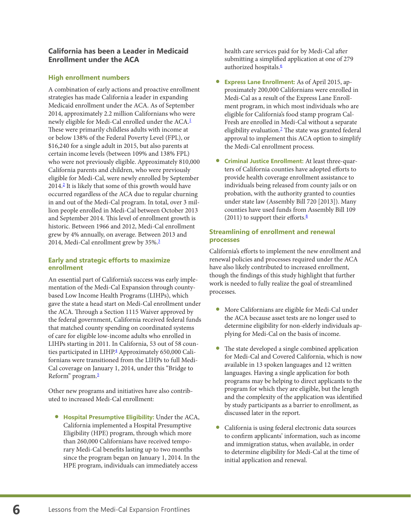## **California has been a Leader in Medicaid Enrollment under the ACA**

#### **High enrollment numbers**

<span id="page-5-0"></span>A combination of early actions and proactive enrollment strategies has made California a leader in expanding Medicaid enrollment under the ACA. As of September 2014, approximately 2.2 million Californians who were newly eligible for Medi-Cal enrolled under the ACA.<sup>1</sup> These were primarily childless adults with income at or below 138% of the Federal Poverty Level (FPL), or \$16,240 for a single adult in 2015, but also parents at certain income levels (between 109% and 138% FPL) who were not previously eligible. Approximately 810,000 California parents and children, who were previously eligible for Medi-Cal, were newly enrolled by September 2014[.2](#page-34-1) It is likely that some of this growth would have occurred regardless of the ACA due to regular churning in and out of the Medi-Cal program. In total, over 3 million people enrolled in Medi-Cal between October 2013 and September 2014. This level of enrollment growth is historic. Between 1966 and 2012, Medi-Cal enrollment grew by 4% annually, on average. Between 2013 and 2014, Medi-Cal enrollment grew by 35%.[3](#page-34-2)

#### <span id="page-5-2"></span><span id="page-5-1"></span>**Early and strategic efforts to maximize enrollment**

An essential part of California's success was early implementation of the Medi-Cal Expansion through countybased Low Income Health Programs (LIHPs), which gave the state a head start on Medi-Cal enrollment under the ACA. Through a Section 1115 Waiver approved by the federal government, California received federal funds that matched county spending on coordinated systems of care for eligible low-income adults who enrolled in LIHPs starting in 2011. In California, 53 out of 58 coun-ties participated in LIHP.<sup>[4](#page-34-3)</sup> Approximately 650,000 Californians were transitioned from the LIHPs to full Medi-Cal coverage on January 1, 2014, under this "Bridge to Reform" program.<sup>[5](#page-34-4)</sup>

<span id="page-5-4"></span><span id="page-5-3"></span>Other new programs and initiatives have also contributed to increased Medi-Cal enrollment:

• **Hospital Presumptive Eligibility:** Under the ACA, California implemented a Hospital Presumptive Eligibility (HPE) program, through which more than 260,000 Californians have received temporary Medi-Cal benefits lasting up to two months since the program began on January 1, 2014. In the HPE program, individuals can immediately access

<span id="page-5-5"></span>health care services paid for by Medi-Cal after submitting a simplified application at one of 279 authorized hospitals.<sup>6</sup>

- **Express Lane Enrollment:** As of April 2015, approximately 200,000 Californians were enrolled in Medi-Cal as a result of the Express Lane Enrollment program, in which most individuals who are eligible for California's food stamp program Cal-Fresh are enrolled in Medi-Cal without a separate eligibility evaluation.<sup>2</sup> The state was granted federal approval to implement this ACA option to simplify the Medi-Cal enrollment process.
- <span id="page-5-6"></span>• **Criminal Justice Enrollment:** At least three-quarters of California counties have adopted efforts to provide health coverage enrollment assistance to individuals being released from county jails or on probation, with the authority granted to counties under state law (Assembly Bill 720 [2013]). Many counties have used funds from Assembly Bill 109 (2011) to support their efforts. $8$

#### <span id="page-5-7"></span>**Streamlining of enrollment and renewal processes**

California's efforts to implement the new enrollment and renewal policies and processes required under the ACA have also likely contributed to increased enrollment, though the findings of this study highlight that further work is needed to fully realize the goal of streamlined processes.

- More Californians are eligible for Medi-Cal under the ACA because asset tests are no longer used to determine eligibility for non-elderly individuals applying for Medi-Cal on the basis of income.
- The state developed a single combined application for Medi-Cal and Covered California, which is now available in 13 spoken languages and 12 written languages. Having a single application for both programs may be helping to direct applicants to the program for which they are eligible, but the length and the complexity of the application was identified by study participants as a barrier to enrollment, as discussed later in the report.
- California is using federal electronic data sources to confirm applicants' information, such as income and immigration status, when available, in order to determine eligibility for Medi-Cal at the time of initial application and renewal.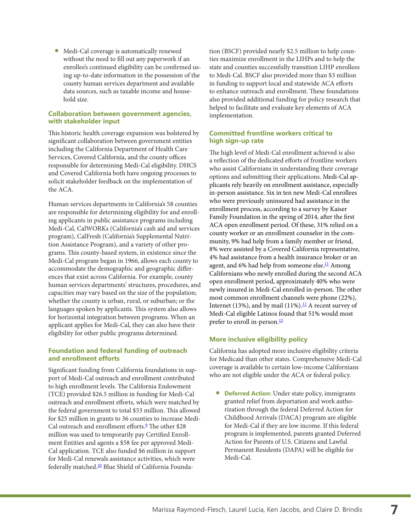• Medi-Cal coverage is automatically renewed without the need to fill out any paperwork if an enrollee's continued eligibility can be confirmed using up-to-date information in the possession of the county human services department and available data sources, such as taxable income and household size.

#### **Collaboration between government agencies, with stakeholder input**

This historic health coverage expansion was bolstered by significant collaboration between government entities including the California Department of Health Care Services, Covered California, and the county offices responsible for determining Medi-Cal eligibility. DHCS and Covered California both have ongoing processes to solicit stakeholder feedback on the implementation of the ACA.

Human services departments in California's 58 counties are responsible for determining eligibility for and enrolling applicants in public assistance programs including Medi-Cal, CalWORKs (California's cash aid and services program), CalFresh (California's Supplemental Nutrition Assistance Program), and a variety of other programs. This county-based system, in existence since the Medi-Cal program began in 1966, allows each county to accommodate the demographic and geographic differences that exist across California. For example, county human services departments' structures, procedures, and capacities may vary based on the size of the population; whether the county is urban, rural, or suburban; or the languages spoken by applicants. This system also allows for horizontal integration between programs. When an applicant applies for Medi-Cal, they can also have their eligibility for other public programs determined.

#### **Foundation and federal funding of outreach and enrollment efforts**

<span id="page-6-1"></span><span id="page-6-0"></span>Significant funding from California foundations in support of Medi-Cal outreach and enrollment contributed to high enrollment levels. The California Endowment (TCE) provided \$26.5 million in funding for Medi-Cal outreach and enrollment efforts, which were matched by the federal government to total \$53 million. This allowed for \$25 million in grants to 36 counties to increase Medi-Cal outreach and enrollment efforts.<sup>[9](#page-35-2)</sup> The other \$28 million was used to temporarily pay Certified Enrollment Entities and agents a \$58 fee per approved Medi-Cal application. TCE also funded \$6 million in support for Medi-Cal renewals assistance activities, which were federally matched.<sup>10</sup> Blue Shield of California Foundation (BSCF) provided nearly \$2.5 million to help counties maximize enrollment in the LIHPs and to help the state and counties successfully transition LIHP enrollees to Medi-Cal. BSCF also provided more than \$3 million in funding to support local and statewide ACA efforts to enhance outreach and enrollment. These foundations also provided additional funding for policy research that helped to facilitate and evaluate key elements of ACA implementation.

#### **Committed frontline workers critical to high sign-up rate**

The high level of Medi-Cal enrollment achieved is also a reflection of the dedicated efforts of frontline workers who assist Californians in understanding their coverage options and submitting their applications. Medi-Cal applicants rely heavily on enrollment assistance, especially in-person assistance. Six in ten new Medi-Cal enrollees who were previously uninsured had assistance in the enrollment process, according to a survey by Kaiser Family Foundation in the spring of 2014, after the first ACA open enrollment period. Of these, 31% relied on a county worker or an enrollment counselor in the community, 9% had help from a family member or friend, 8% were assisted by a Covered California representative, 4% had assistance from a health insurance broker or an agent, and 6% had help from someone else.<sup>[11](#page-35-4)</sup> Among Californians who newly enrolled during the second ACA open enrollment period, approximately 40% who were newly insured in Medi-Cal enrolled in-person. The other most common enrollment channels were phone (22%), Internet (13%), and by mail (11%).<sup>12</sup> A recent survey of Medi-Cal eligible Latinos found that 51% would most prefer to enroll in-person.<sup>[13](#page-35-6)</sup>

#### <span id="page-6-4"></span><span id="page-6-3"></span><span id="page-6-2"></span>**More inclusive eligibility policy**

California has adopted more inclusive eligibility criteria for Medicaid than other states. Comprehensive Medi-Cal coverage is available to certain low-income Californians who are not eligible under the ACA or federal policy.

• **Deferred Action:** Under state policy, immigrants granted relief from deportation and work authorization through the federal Deferred Action for Childhood Arrivals (DACA) program are eligible for Medi-Cal if they are low income. If this federal program is implemented, parents granted Deferred Action for Parents of U.S. Citizens and Lawful Permanent Residents (DAPA) will be eligible for Medi-Cal.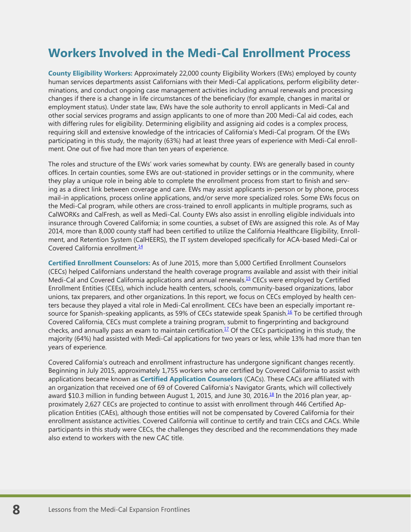# **Workers Involved in the Medi-Cal Enrollment Process**

**County Eligibility Workers:** Approximately 22,000 county Eligibility Workers (EWs) employed by county human services departments assist Californians with their Medi-Cal applications, perform eligibility determinations, and conduct ongoing case management activities including annual renewals and processing changes if there is a change in life circumstances of the beneficiary (for example, changes in marital or employment status). Under state law, EWs have the sole authority to enroll applicants in Medi-Cal and other social services programs and assign applicants to one of more than 200 Medi-Cal aid codes, each with differing rules for eligibility. Determining eligibility and assigning aid codes is a complex process, requiring skill and extensive knowledge of the intricacies of California's Medi-Cal program. Of the EWs participating in this study, the majority (63%) had at least three years of experience with Medi-Cal enrollment. One out of five had more than ten years of experience.

The roles and structure of the EWs' work varies somewhat by county. EWs are generally based in county offices. In certain counties, some EWs are out-stationed in provider settings or in the community, where they play a unique role in being able to complete the enrollment process from start to finish and serving as a direct link between coverage and care. EWs may assist applicants in-person or by phone, process mail-in applications, process online applications, and/or serve more specialized roles. Some EWs focus on the Medi-Cal program, while others are cross-trained to enroll applicants in multiple programs, such as CalWORKs and CalFresh, as well as Medi-Cal. County EWs also assist in enrolling eligible individuals into insurance through Covered California; in some counties, a subset of EWs are assigned this role. As of May 2014, more than 8,000 county staff had been certified to utilize the California Healthcare Eligibility, Enrollment, and Retention System (CalHEERS), the IT system developed specifically for ACA-based Medi-Cal or Covered California enrollment.<sup>14</sup>

<span id="page-7-2"></span><span id="page-7-1"></span><span id="page-7-0"></span>**Certified Enrollment Counselors:** As of June 2015, more than 5,000 Certified Enrollment Counselors (CECs) helped Californians understand the health coverage programs available and assist with their initial Medi-Cal and Covered California applications and annual renewals.<sup>15</sup> CECs were employed by Certified Enrollment Entities (CEEs), which include health centers, schools, community-based organizations, labor unions, tax preparers, and other organizations. In this report, we focus on CECs employed by health centers because they played a vital role in Medi-Cal enrollment. CECs have been an especially important resource for Spanish-speaking applicants, as 59% of CECs statewide speak Spanish.<sup>16</sup> To be certified through Covered California, CECs must complete a training program, submit to fingerprinting and background checks, and annually pass an exam to maintain certification.<sup>[17](#page-35-10)</sup> Of the CECs participating in this study, the majority (64%) had assisted with Medi-Cal applications for two years or less, while 13% had more than ten years of experience.

<span id="page-7-4"></span><span id="page-7-3"></span>Covered California's outreach and enrollment infrastructure has undergone significant changes recently. Beginning in July 2015, approximately 1,755 workers who are certified by Covered California to assist with applications became known as **Certified Application Counselors** (CACs). These CACs are affiliated with an organization that received one of 69 of Covered California's Navigator Grants, which will collectively award \$10.3 million in funding between August 1, 2015, and June 30, 2016.<sup>18</sup> In the 2016 plan year, approximately 2,627 CECs are projected to continue to assist with enrollment through 446 Certified Application Entities (CAEs), although those entities will not be compensated by Covered California for their enrollment assistance activities. Covered California will continue to certify and train CECs and CACs. While participants in this study were CECs, the challenges they described and the recommendations they made also extend to workers with the new CAC title.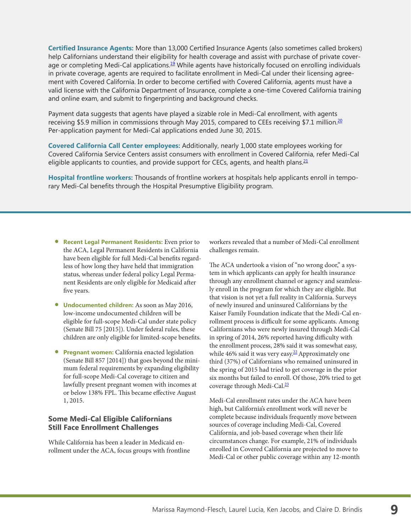<span id="page-8-0"></span>**Certified Insurance Agents:** More than 13,000 Certified Insurance Agents (also sometimes called brokers) help Californians understand their eligibility for health coverage and assist with purchase of private coverage or completing Medi-Cal applications.<sup>19</sup> While agents have historically focused on enrolling individuals in private coverage, agents are required to facilitate enrollment in Medi-Cal under their licensing agreement with Covered California. In order to become certified with Covered California, agents must have a valid license with the California Department of Insurance, complete a one-time Covered California training and online exam, and submit to fingerprinting and background checks.

<span id="page-8-1"></span>Payment data suggests that agents have played a sizable role in Medi-Cal enrollment, with agents receiving \$5.9 million in commissions through May 2015, compared to CEEs receiving \$7.1 million.<sup>20</sup> Per-application payment for Medi-Cal applications ended June 30, 2015.

<span id="page-8-2"></span>**Covered California Call Center employees:** Additionally, nearly 1,000 state employees working for Covered California Service Centers assist consumers with enrollment in Covered California, refer Medi-Cal eligible applicants to counties, and provide support for CECs, agents, and health plans.<sup>21</sup>

**Hospital frontline workers:** Thousands of frontline workers at hospitals help applicants enroll in temporary Medi-Cal benefits through the Hospital Presumptive Eligibility program.

- **Recent Legal Permanent Residents:** Even prior to the ACA, Legal Permanent Residents in California have been eligible for full Medi-Cal benefits regardless of how long they have held that immigration status, whereas under federal policy Legal Permanent Residents are only eligible for Medicaid after five years.
- **Undocumented children:** As soon as May 2016, low-income undocumented children will be eligible for full-scope Medi-Cal under state policy (Senate Bill 75 [2015]). Under federal rules, these children are only eligible for limited-scope benefits.
- **Pregnant women:** California enacted legislation (Senate Bill 857 [2014]) that goes beyond the minimum federal requirements by expanding eligibility for full-scope Medi-Cal coverage to citizen and lawfully present pregnant women with incomes at or below 138% FPL. This became effective August 1, 2015.

## **Some Medi-Cal Eligible Californians Still Face Enrollment Challenges**

While California has been a leader in Medicaid enrollment under the ACA, focus groups with frontline workers revealed that a number of Medi-Cal enrollment challenges remain.

The ACA undertook a vision of "no wrong door," a system in which applicants can apply for health insurance through any enrollment channel or agency and seamlessly enroll in the program for which they are eligible. But that vision is not yet a full reality in California. Surveys of newly insured and uninsured Californians by the Kaiser Family Foundation indicate that the Medi-Cal enrollment process is difficult for some applicants. Among Californians who were newly insured through Medi-Cal in spring of 2014, 26% reported having difficulty with the enrollment process, 28% said it was somewhat easy, while 46% said it was very easy.<sup>[22](#page-35-12)</sup> Approximately one third (37%) of Californians who remained uninsured in the spring of 2015 had tried to get coverage in the prior six months but failed to enroll. Of those, 20% tried to get coverage through Medi-Cal[.23](#page-35-13)

<span id="page-8-4"></span><span id="page-8-3"></span>Medi-Cal enrollment rates under the ACA have been high, but California's enrollment work will never be complete because individuals frequently move between sources of coverage including Medi-Cal, Covered California, and job-based coverage when their life circumstances change. For example, 21% of individuals enrolled in Covered California are projected to move to Medi-Cal or other public coverage within any 12-month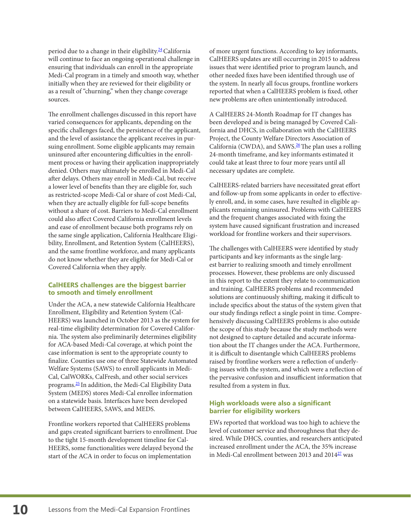<span id="page-9-0"></span>period due to a change in their eligibility.<sup>[24](#page-35-17)</sup> California will continue to face an ongoing operational challenge in ensuring that individuals can enroll in the appropriate Medi-Cal program in a timely and smooth way, whether initially when they are reviewed for their eligibility or as a result of "churning," when they change coverage sources.

The enrollment challenges discussed in this report have varied consequences for applicants, depending on the specific challenges faced, the persistence of the applicant, and the level of assistance the applicant receives in pursuing enrollment. Some eligible applicants may remain uninsured after encountering difficulties in the enrollment process or having their application inappropriately denied. Others may ultimately be enrolled in Medi-Cal after delays. Others may enroll in Medi-Cal, but receive a lower level of benefits than they are eligible for, such as restricted-scope Medi-Cal or share of cost Medi-Cal, when they are actually eligible for full-scope benefits without a share of cost. Barriers to Medi-Cal enrollment could also affect Covered California enrollment levels and ease of enrollment because both programs rely on the same single application, California Healthcare Eligibility, Enrollment, and Retention System (CalHEERS), and the same frontline workforce, and many applicants do not know whether they are eligible for Medi-Cal or Covered California when they apply.

#### **CalHEERS challenges are the biggest barrier to smooth and timely enrollment**

Under the ACA, a new statewide California Healthcare Enrollment, Eligibility and Retention System (Cal-HEERS) was launched in October 2013 as the system for real-time eligibility determination for Covered California. The system also preliminarily determines eligibility for ACA-based Medi-Cal coverage, at which point the case information is sent to the appropriate county to finalize. Counties use one of three Statewide Automated Welfare Systems (SAWS) to enroll applicants in Medi-Cal, CalWORKs, CalFresh, and other social services programs.[25](#page-35-18) In addition, the Medi-Cal Eligibility Data System (MEDS) stores Medi-Cal enrollee information on a statewide basis. Interfaces have been developed between CalHEERS, SAWS, and MEDS.

<span id="page-9-1"></span>Frontline workers reported that CalHEERS problems and gaps created significant barriers to enrollment. Due to the tight 15-month development timeline for Cal-HEERS, some functionalities were delayed beyond the start of the ACA in order to focus on implementation

of more urgent functions. According to key informants, CalHEERS updates are still occurring in 2015 to address issues that were identified prior to program launch, and other needed fixes have been identified through use of the system. In nearly all focus groups, frontline workers reported that when a CalHEERS problem is fixed, other new problems are often unintentionally introduced.

<span id="page-9-2"></span>A CalHEERS 24-Month Roadmap for IT changes has been developed and is being managed by Covered California and DHCS, in collaboration with the CalHEERS Project, the County Welfare Directors Association of California (CWDA), and SAWS. $\frac{26}{3}$  $\frac{26}{3}$  $\frac{26}{3}$ The plan uses a rolling 24-month timeframe, and key informants estimated it could take at least three to four more years until all necessary updates are complete.

CalHEERS-related barriers have necessitated great effort and follow-up from some applicants in order to effectively enroll, and, in some cases, have resulted in eligible applicants remaining uninsured. Problems with CalHEERS and the frequent changes associated with fixing the system have caused significant frustration and increased workload for frontline workers and their supervisors.

The challenges with CalHEERS were identified by study participants and key informants as the single largest barrier to realizing smooth and timely enrollment processes. However, these problems are only discussed in this report to the extent they relate to communication and training. CalHEERS problems and recommended solutions are continuously shifting, making it difficult to include specifics about the status of the system given that our study findings reflect a single point in time. Comprehensively discussing CalHEERS problems is also outside the scope of this study because the study methods were not designed to capture detailed and accurate information about the IT changes under the ACA. Furthermore, it is difficult to disentangle which CalHEERS problems raised by frontline workers were a reflection of underlying issues with the system, and which were a reflection of the pervasive confusion and insufficient information that resulted from a system in flux.

#### **High workloads were also a significant barrier for eligibility workers**

<span id="page-9-3"></span>EWs reported that workload was too high to achieve the level of customer service and thoroughness that they desired. While DHCS, counties, and researchers anticipated increased enrollment under the ACA, the 35% increase in Medi-Cal enrollment between 2013 and  $2014^{27}$  $2014^{27}$  $2014^{27}$  was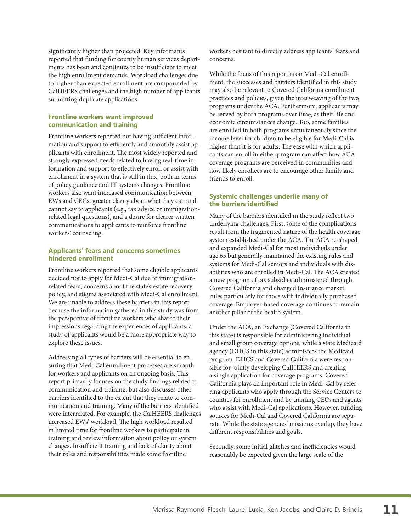significantly higher than projected. Key informants reported that funding for county human services departments has been and continues to be insufficient to meet the high enrollment demands. Workload challenges due to higher than expected enrollment are compounded by CalHEERS challenges and the high number of applicants submitting duplicate applications.

#### **Frontline workers want improved communication and training**

Frontline workers reported not having sufficient information and support to efficiently and smoothly assist applicants with enrollment. The most widely reported and strongly expressed needs related to having real-time information and support to effectively enroll or assist with enrollment in a system that is still in flux, both in terms of policy guidance and IT systems changes. Frontline workers also want increased communication between EWs and CECs, greater clarity about what they can and cannot say to applicants (e.g., tax advice or immigrationrelated legal questions), and a desire for clearer written communications to applicants to reinforce frontline workers' counseling.

#### **Applicants' fears and concerns sometimes hindered enrollment**

Frontline workers reported that some eligible applicants decided not to apply for Medi-Cal due to immigrationrelated fears, concerns about the state's estate recovery policy, and stigma associated with Medi-Cal enrollment. We are unable to address these barriers in this report because the information gathered in this study was from the perspective of frontline workers who shared their impressions regarding the experiences of applicants; a study of applicants would be a more appropriate way to explore these issues.

Addressing all types of barriers will be essential to ensuring that Medi-Cal enrollment processes are smooth for workers and applicants on an ongoing basis. This report primarily focuses on the study findings related to communication and training, but also discusses other barriers identified to the extent that they relate to communication and training. Many of the barriers identified were interrelated. For example, the CalHEERS challenges increased EWs' workload. The high workload resulted in limited time for frontline workers to participate in training and review information about policy or system changes. Insufficient training and lack of clarity about their roles and responsibilities made some frontline

workers hesitant to directly address applicants' fears and concerns.

While the focus of this report is on Medi-Cal enrollment, the successes and barriers identified in this study may also be relevant to Covered California enrollment practices and policies, given the interweaving of the two programs under the ACA. Furthermore, applicants may be served by both programs over time, as their life and economic circumstances change. Too, some families are enrolled in both programs simultaneously since the income level for children to be eligible for Medi-Cal is higher than it is for adults. The ease with which applicants can enroll in either program can affect how ACA coverage programs are perceived in communities and how likely enrollees are to encourage other family and friends to enroll.

### **Systemic challenges underlie many of the barriers identified**

Many of the barriers identified in the study reflect two underlying challenges. First, some of the complications result from the fragmented nature of the health coverage system established under the ACA. The ACA re-shaped and expanded Medi-Cal for most individuals under age 65 but generally maintained the existing rules and systems for Medi-Cal seniors and individuals with disabilities who are enrolled in Medi-Cal. The ACA created a new program of tax subsidies administered through Covered California and changed insurance market rules particularly for those with individually purchased coverage. Employer-based coverage continues to remain another pillar of the health system.

Under the ACA, an Exchange (Covered California in this state) is responsible for administering individual and small group coverage options, while a state Medicaid agency (DHCS in this state) administers the Medicaid program. DHCS and Covered California were responsible for jointly developing CalHEERS and creating a single application for coverage programs. Covered California plays an important role in Medi-Cal by referring applicants who apply through the Service Centers to counties for enrollment and by training CECs and agents who assist with Medi-Cal applications. However, funding sources for Medi-Cal and Covered California are separate. While the state agencies' missions overlap, they have different responsibilities and goals.

Secondly, some initial glitches and inefficiencies would reasonably be expected given the large scale of the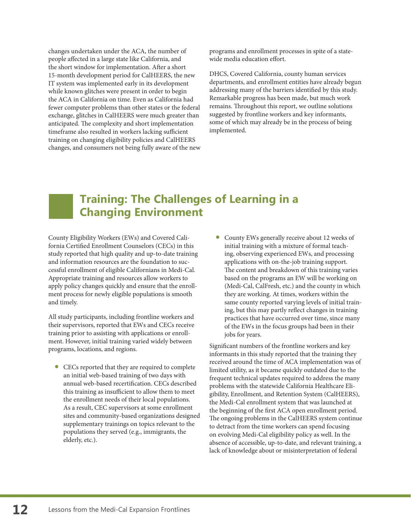changes undertaken under the ACA, the number of people affected in a large state like California, and the short window for implementation. After a short 15-month development period for CalHEERS, the new IT system was implemented early in its development while known glitches were present in order to begin the ACA in California on time. Even as California had fewer computer problems than other states or the federal exchange, glitches in CalHEERS were much greater than anticipated. The complexity and short implementation timeframe also resulted in workers lacking sufficient training on changing eligibility policies and CalHEERS changes, and consumers not being fully aware of the new programs and enrollment processes in spite of a statewide media education effort.

DHCS, Covered California, county human services departments, and enrollment entities have already begun addressing many of the barriers identified by this study. Remarkable progress has been made, but much work remains. Throughout this report, we outline solutions suggested by frontline workers and key informants, some of which may already be in the process of being implemented.

# <span id="page-11-0"></span>**Training: The Challenges of Learning in a Changing Environment**

County Eligibility Workers (EWs) and Covered California Certified Enrollment Counselors (CECs) in this study reported that high quality and up-to-date training and information resources are the foundation to successful enrollment of eligible Californians in Medi-Cal. Appropriate training and resources allow workers to apply policy changes quickly and ensure that the enrollment process for newly eligible populations is smooth and timely.

All study participants, including frontline workers and their supervisors, reported that EWs and CECs receive training prior to assisting with applications or enrollment. However, initial training varied widely between programs, locations, and regions.

- CECs reported that they are required to complete an initial web-based training of two days with annual web-based recertification. CECs described this training as insufficient to allow them to meet the enrollment needs of their local populations. As a result, CEC supervisors at some enrollment sites and community-based organizations designed supplementary trainings on topics relevant to the populations they served (e.g., immigrants, the elderly, etc.).
- County EWs generally receive about 12 weeks of initial training with a mixture of formal teaching, observing experienced EWs, and processing applications with on-the-job training support. The content and breakdown of this training varies based on the programs an EW will be working on (Medi-Cal, CalFresh, etc.) and the county in which they are working. At times, workers within the same county reported varying levels of initial training, but this may partly reflect changes in training practices that have occurred over time, since many of the EWs in the focus groups had been in their jobs for years.

Significant numbers of the frontline workers and key informants in this study reported that the training they received around the time of ACA implementation was of limited utility, as it became quickly outdated due to the frequent technical updates required to address the many problems with the statewide California Healthcare Eligibility, Enrollment, and Retention System (CalHEERS), the Medi-Cal enrollment system that was launched at the beginning of the first ACA open enrollment period. The ongoing problems in the CalHEERS system continue to detract from the time workers can spend focusing on evolving Medi-Cal eligibility policy as well. In the absence of accessible, up-to-date, and relevant training, a lack of knowledge about or misinterpretation of federal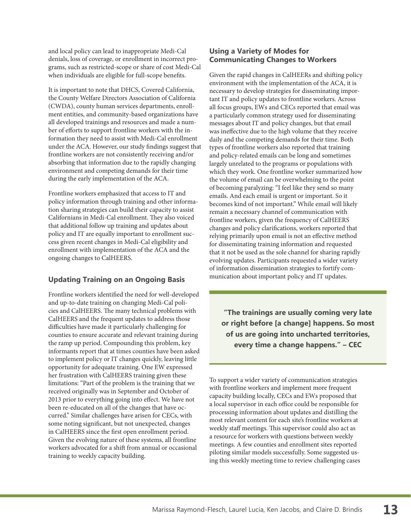and local policy can lead to inappropriate Medi-Cal denials, loss of coverage, or enrollment in incorrect programs, such as restricted-scope or share of cost Medi-Cal when individuals are eligible for full-scope benefits.

It is important to note that DHCS, Covered California, the County Welfare Directors Association of California (CWDA), county human services departments, enrollment entities, and community-based organizations have all developed trainings and resources and made a number of efforts to support frontline workers with the information they need to assist with Medi-Cal enrollment under the ACA. However, our study findings suggest that frontline workers are not consistently receiving and/or absorbing that information due to the rapidly changing environment and competing demands for their time during the early implementation of the ACA.

Frontline workers emphasized that access to IT and policy information through training and other information sharing strategies can build their capacity to assist Californians in Medi-Cal enrollment. They also voiced that additional follow up training and updates about policy and IT are equally important to enrollment success given recent changes in Medi-Cal eligibility and enrollment with implementation of the ACA and the ongoing changes to CalHEERS.

# **Updating Training on an Ongoing Basis**

Frontline workers identified the need for well-developed and up-to-date training on changing Medi-Cal policies and CalHEERS. The many technical problems with CalHEERS and the frequent updates to address those difficulties have made it particularly challenging for counties to ensure accurate and relevant training during the ramp up period. Compounding this problem, key informants report that at times counties have been asked to implement policy or IT changes quickly, leaving little opportunity for adequate training. One EW expressed her frustration with CalHEERS training given these limitations: "Part of the problem is the training that we received originally was in September and October of 2013 prior to everything going into effect. We have not been re-educated on all of the changes that have occurred." Similar challenges have arisen for CECs, with some noting significant, but not unexpected, changes in CalHEERS since the first open enrollment period. Given the evolving nature of these systems, all frontline workers advocated for a shift from annual or occasional training to weekly capacity building.

## **Using a Variety of Modes for Communicating Changes to Workers**

Given the rapid changes in CalHEERs and shifting policy environment with the implementation of the ACA, it is necessary to develop strategies for disseminating important IT and policy updates to frontline workers. Across all focus groups, EWs and CECs reported that email was a particularly common strategy used for disseminating messages about IT and policy changes, but that email was ineffective due to the high volume that they receive daily and the competing demands for their time. Both types of frontline workers also reported that training and policy-related emails can be long and sometimes largely unrelated to the programs or populations with which they work. One frontline worker summarized how the volume of email can be overwhelming to the point of becoming paralyzing: "I feel like they send so many emails. And each email is urgent or important. So it becomes kind of not important." While email will likely remain a necessary channel of communication with frontline workers, given the frequency of CalHEERS changes and policy clarifications, workers reported that relying primarily upon email is not an effective method for disseminating training information and requested that it not be used as the sole channel for sharing rapidly evolving updates. Participants requested a wider variety of information dissemination strategies to fortify communication about important policy and IT updates.

**"The trainings are usually coming very late or right before [a change] happens. So most of us are going into uncharted territories, every time a change happens." – CEC**

To support a wider variety of communication strategies with frontline workers and implement more frequent capacity building locally, CECs and EWs proposed that a local supervisor in each office could be responsible for processing information about updates and distilling the most relevant content for each site's frontline workers at weekly staff meetings. This supervisor could also act as a resource for workers with questions between weekly meetings. A few counties and enrollment sites reported piloting similar models successfully. Some suggested using this weekly meeting time to review challenging cases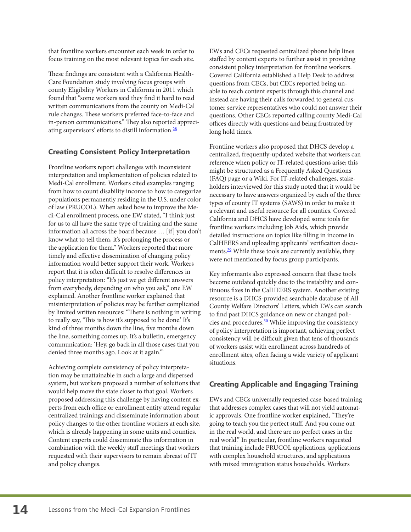that frontline workers encounter each week in order to focus training on the most relevant topics for each site.

These findings are consistent with a California Health-Care Foundation study involving focus groups with county Eligibility Workers in California in 2011 which found that "some workers said they find it hard to read written communications from the county on Medi-Cal rule changes. These workers preferred face-to-face and in-person communications." They also reported appreciating supervisors' efforts to distill information[.28](#page-36-0)

## <span id="page-13-0"></span>**Creating Consistent Policy Interpretation**

Frontline workers report challenges with inconsistent interpretation and implementation of policies related to Medi-Cal enrollment. Workers cited examples ranging from how to count disability income to how to categorize populations permanently residing in the U.S. under color of law (PRUCOL). When asked how to improve the Medi-Cal enrollment process, one EW stated, "I think just for us to all have the same type of training and the same information all across the board because … [if] you don't know what to tell them, it's prolonging the process or the application for them." Workers reported that more timely and effective dissemination of changing policy information would better support their work. Workers report that it is often difficult to resolve differences in policy interpretation: "It's just we get different answers from everybody, depending on who you ask," one EW explained. Another frontline worker explained that misinterpretation of policies may be further complicated by limited written resources: "There is nothing in writing to really say, 'This is how it's supposed to be done.' It's kind of three months down the line, five months down the line, something comes up. It's a bulletin, emergency communication: 'Hey, go back in all those cases that you denied three months ago. Look at it again.'"

Achieving complete consistency of policy interpretation may be unattainable in such a large and dispersed system, but workers proposed a number of solutions that would help move the state closer to that goal. Workers proposed addressing this challenge by having content experts from each office or enrollment entity attend regular centralized trainings and disseminate information about policy changes to the other frontline workers at each site, which is already happening in some units and counties. Content experts could disseminate this information in combination with the weekly staff meetings that workers requested with their supervisors to remain abreast of IT and policy changes.

EWs and CECs requested centralized phone help lines staffed by content experts to further assist in providing consistent policy interpretation for frontline workers. Covered California established a Help Desk to address questions from CECs, but CECs reported being unable to reach content experts through this channel and instead are having their calls forwarded to general customer service representatives who could not answer their questions. Other CECs reported calling county Medi-Cal offices directly with questions and being frustrated by long hold times.

Frontline workers also proposed that DHCS develop a centralized, frequently-updated website that workers can reference when policy or IT-related questions arise; this might be structured as a Frequently Asked Questions (FAQ) page or a Wiki. For IT-related challenges, stakeholders interviewed for this study noted that it would be necessary to have answers organized by each of the three types of county IT systems (SAWS) in order to make it a relevant and useful resource for all counties. Covered California and DHCS have developed some tools for frontline workers including Job Aids, which provide detailed instructions on topics like filling in income in CalHEERS and uploading applicants' verification documents.<sup>29</sup> While these tools are currently available, they were not mentioned by focus group participants.

<span id="page-13-2"></span><span id="page-13-1"></span>Key informants also expressed concern that these tools become outdated quickly due to the instability and continuous fixes in the CalHEERS system. Another existing resource is a DHCS-provided searchable database of All County Welfare Directors' Letters, which EWs can search to find past DHCS guidance on new or changed policies and procedures.<sup>30</sup> While improving the consistency of policy interpretation is important, achieving perfect consistency will be difficult given that tens of thousands of workers assist with enrollment across hundreds of enrollment sites, often facing a wide variety of applicant situations.

# **Creating Applicable and Engaging Training**

EWs and CECs universally requested case-based training that addresses complex cases that will not yield automatic approvals. One frontline worker explained, "They're going to teach you the perfect stuff. And you come out in the real world, and there are no perfect cases in the real world." In particular, frontline workers requested that training include PRUCOL applications, applications with complex household structures, and applications with mixed immigration status households. Workers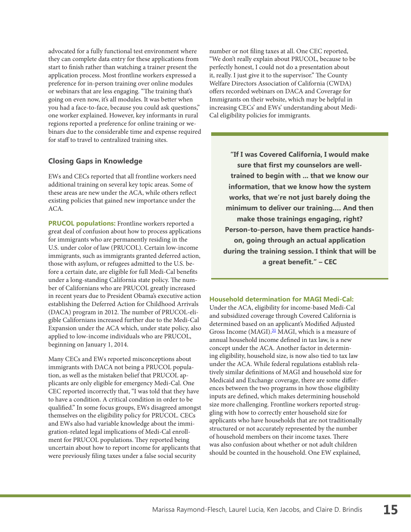advocated for a fully functional test environment where they can complete data entry for these applications from start to finish rather than watching a trainer present the application process. Most frontline workers expressed a preference for in-person training over online modules or webinars that are less engaging. "The training that's going on even now, it's all modules. It was better when you had a face-to-face, because you could ask questions," one worker explained. However, key informants in rural regions reported a preference for online training or webinars due to the considerable time and expense required for staff to travel to centralized training sites.

## **Closing Gaps in Knowledge**

EWs and CECs reported that all frontline workers need additional training on several key topic areas. Some of these areas are new under the ACA, while others reflect existing policies that gained new importance under the ACA.

**PRUCOL populations:** Frontline workers reported a great deal of confusion about how to process applications for immigrants who are permanently residing in the U.S. under color of law (PRUCOL). Certain low-income immigrants, such as immigrants granted deferred action, those with asylum, or refugees admitted to the U.S. before a certain date, are eligible for full Medi-Cal benefits under a long-standing California state policy. The number of Californians who are PRUCOL greatly increased in recent years due to President Obama's executive action establishing the Deferred Action for Childhood Arrivals (DACA) program in 2012. The number of PRUCOL-eligible Californians increased further due to the Medi-Cal Expansion under the ACA which, under state policy, also applied to low-income individuals who are PRUCOL, beginning on January 1, 2014.

Many CECs and EWs reported misconceptions about immigrants with DACA not being a PRUCOL population, as well as the mistaken belief that PRUCOL applicants are only eligible for emergency Medi-Cal. One CEC reported incorrectly that, "I was told that they have to have a condition. A critical condition in order to be qualified." In some focus groups, EWs disagreed amongst themselves on the eligibility policy for PRUCOL. CECs and EWs also had variable knowledge about the immigration-related legal implications of Medi-Cal enrollment for PRUCOL populations. They reported being uncertain about how to report income for applicants that were previously filing taxes under a false social security

number or not filing taxes at all. One CEC reported, "We don't really explain about PRUCOL, because to be perfectly honest, I could not do a presentation about it, really. I just give it to the supervisor." The County Welfare Directors Association of California (CWDA) offers recorded webinars on DACA and Coverage for Immigrants on their website, which may be helpful in increasing CECs' and EWs' understanding about Medi-Cal eligibility policies for immigrants.

**"If I was Covered California, I would make sure that first my counselors are welltrained to begin with ... that we know our information, that we know how the system works, that we're not just barely doing the minimum to deliver our training.… And then make those trainings engaging, right? Person-to-person, have them practice handson, going through an actual application during the training session. I think that will be a great benefit." – CEC**

#### **Household determination for MAGI Medi-Cal:**

<span id="page-14-0"></span>Under the ACA, eligibility for income-based Medi-Cal and subsidized coverage through Covered California is determined based on an applicant's Modified Adjusted Gross Income (MAGI).<sup>31</sup> MAGI, which is a measure of annual household income defined in tax law, is a new concept under the ACA. Another factor in determining eligibility, household size, is now also tied to tax law under the ACA. While federal regulations establish relatively similar definitions of MAGI and household size for Medicaid and Exchange coverage, there are some differences between the two programs in how those eligibility inputs are defined, which makes determining household size more challenging. Frontline workers reported struggling with how to correctly enter household size for applicants who have households that are not traditionally structured or not accurately represented by the number of household members on their income taxes. There was also confusion about whether or not adult children should be counted in the household. One EW explained,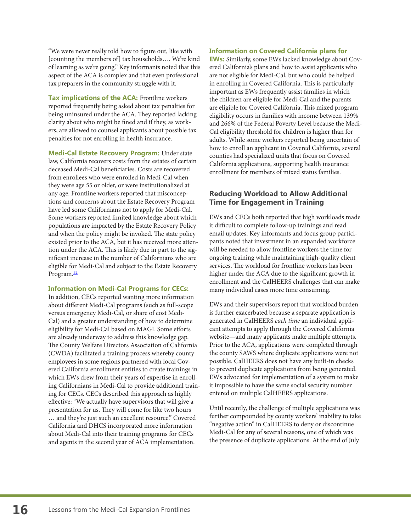"We were never really told how to figure out, like with [counting the members of] tax households…. We're kind of learning as we're going." Key informants noted that this aspect of the ACA is complex and that even professional tax preparers in the community struggle with it.

**Tax implications of the ACA:** Frontline workers reported frequently being asked about tax penalties for being uninsured under the ACA. They reported lacking clarity about who might be fined and if they, as workers, are allowed to counsel applicants about possible tax penalties for not enrolling in health insurance.

**Medi-Cal Estate Recovery Program:** Under state law, California recovers costs from the estates of certain deceased Medi-Cal beneficiaries. Costs are recovered from enrollees who were enrolled in Medi-Cal when they were age 55 or older, or were institutionalized at any age. Frontline workers reported that misconceptions and concerns about the Estate Recovery Program have led some Californians not to apply for Medi-Cal. Some workers reported limited knowledge about which populations are impacted by the Estate Recovery Policy and when the policy might be invoked. The state policy existed prior to the ACA, but it has received more attention under the ACA. This is likely due in part to the significant increase in the number of Californians who are eligible for Medi-Cal and subject to the Estate Recovery Program.<sup>32</sup>

#### <span id="page-15-0"></span>**Information on Medi-Cal Programs for CECs:**

In addition, CECs reported wanting more information about different Medi-Cal programs (such as full-scope versus emergency Medi-Cal, or share of cost Medi-Cal) and a greater understanding of how to determine eligibility for Medi-Cal based on MAGI. Some efforts are already underway to address this knowledge gap. The County Welfare Directors Association of California (CWDA) facilitated a training process whereby county employees in some regions partnered with local Covered California enrollment entities to create trainings in which EWs drew from their years of expertise in enrolling Californians in Medi-Cal to provide additional training for CECs. CECs described this approach as highly effective: "We actually have supervisors that will give a presentation for us. They will come for like two hours … and they're just such an excellent resource." Covered California and DHCS incorporated more information about Medi-Cal into their training programs for CECs and agents in the second year of ACA implementation.

#### **Information on Covered California plans for**

**EWs:** Similarly, some EWs lacked knowledge about Covered California's plans and how to assist applicants who are not eligible for Medi-Cal, but who could be helped in enrolling in Covered California. This is particularly important as EWs frequently assist families in which the children are eligible for Medi-Cal and the parents are eligible for Covered California. This mixed program eligibility occurs in families with income between 139% and 266% of the Federal Poverty Level because the Medi-Cal eligibility threshold for children is higher than for adults. While some workers reported being uncertain of how to enroll an applicant in Covered California, several counties had specialized units that focus on Covered California applications, supporting health insurance enrollment for members of mixed status families.

## **Reducing Workload to Allow Additional Time for Engagement in Training**

EWs and CECs both reported that high workloads made it difficult to complete follow-up trainings and read email updates. Key informants and focus group participants noted that investment in an expanded workforce will be needed to allow frontline workers the time for ongoing training while maintaining high-quality client services. The workload for frontline workers has been higher under the ACA due to the significant growth in enrollment and the CalHEERS challenges that can make many individual cases more time consuming.

EWs and their supervisors report that workload burden is further exacerbated because a separate application is generated in CalHEERS *each time* an individual applicant attempts to apply through the Covered California website—and many applicants make multiple attempts. Prior to the ACA, applications were completed through the county SAWS where duplicate applications were not possible. CalHEERS does not have any built-in checks to prevent duplicate applications from being generated. EWs advocated for implementation of a system to make it impossible to have the same social security number entered on multiple CalHEERS applications.

Until recently, the challenge of multiple applications was further compounded by county workers' inability to take "negative action" in CalHEERS to deny or discontinue Medi-Cal for any of several reasons, one of which was the presence of duplicate applications. At the end of July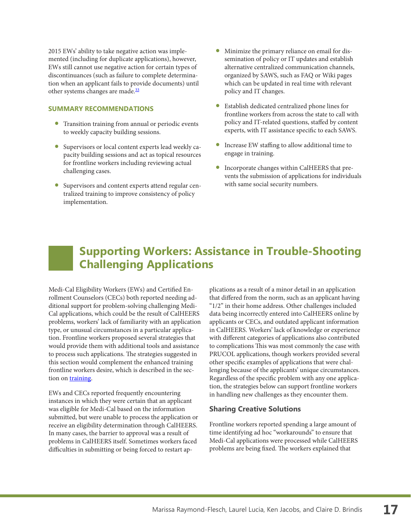2015 EWs' ability to take negative action was implemented (including for duplicate applications), however, EWs still cannot use negative action for certain types of discontinuances (such as failure to complete determination when an applicant fails to provide documents) until other systems changes are made.<sup>33</sup>

#### <span id="page-16-1"></span>**SUMMARY RECOMMENDATIONS**

- Transition training from annual or periodic events to weekly capacity building sessions.
- Supervisors or local content experts lead weekly capacity building sessions and act as topical resources for frontline workers including reviewing actual challenging cases.
- Supervisors and content experts attend regular centralized training to improve consistency of policy implementation.
- Minimize the primary reliance on email for dissemination of policy or IT updates and establish alternative centralized communication channels, organized by SAWS, such as FAQ or Wiki pages which can be updated in real time with relevant policy and IT changes.
- Establish dedicated centralized phone lines for frontline workers from across the state to call with policy and IT-related questions, staffed by content experts, with IT assistance specific to each SAWS.
- Increase EW staffing to allow additional time to engage in training.
- Incorporate changes within CalHEERS that prevents the submission of applications for individuals with same social security numbers.

# <span id="page-16-0"></span>**Supporting Workers: Assistance in Trouble-Shooting Challenging Applications**

Medi-Cal Eligibility Workers (EWs) and Certified Enrollment Counselors (CECs) both reported needing additional support for problem-solving challenging Medi-Cal applications, which could be the result of CalHEERS problems, workers' lack of familiarity with an application type, or unusual circumstances in a particular application. Frontline workers proposed several strategies that would provide them with additional tools and assistance to process such applications. The strategies suggested in this section would complement the enhanced training frontline workers desire, which is described in the section on [training.](#page-11-0)

EWs and CECs reported frequently encountering instances in which they were certain that an applicant was eligible for Medi-Cal based on the information submitted, but were unable to process the application or receive an eligibility determination through CalHEERS. In many cases, the barrier to approval was a result of problems in CalHEERS itself. Sometimes workers faced difficulties in submitting or being forced to restart applications as a result of a minor detail in an application that differed from the norm, such as an applicant having "1/2" in their home address. Other challenges included data being incorrectly entered into CalHEERS online by applicants or CECs, and outdated applicant information in CalHEERS. Workers' lack of knowledge or experience with different categories of applications also contributed to complications This was most commonly the case with PRUCOL applications, though workers provided several other specific examples of applications that were challenging because of the applicants' unique circumstances. Regardless of the specific problem with any one application, the strategies below can support frontline workers in handling new challenges as they encounter them.

## **Sharing Creative Solutions**

Frontline workers reported spending a large amount of time identifying ad hoc "workarounds" to ensure that Medi-Cal applications were processed while CalHEERS problems are being fixed. The workers explained that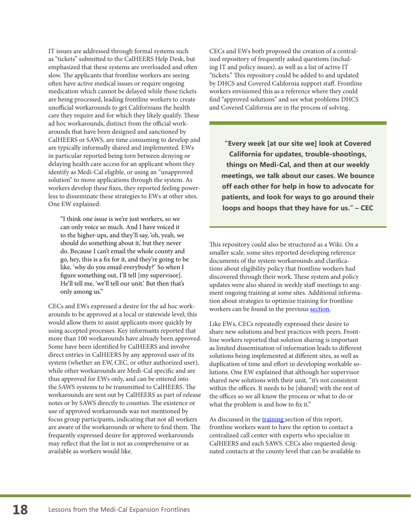IT issues are addressed through formal systems such as "tickets" submitted to the CalHEERS Help Desk, but emphasized that these systems are overloaded and often slow. The applicants that frontline workers are seeing often have active medical issues or require ongoing medication which cannot be delayed while these tickets are being processed, leading frontline workers to create unofficial workarounds to get Californians the health care they require and for which they likely qualify. These ad hoc workarounds, distinct from the official workarounds that have been designed and sanctioned by CalHEERS or SAWS, are time consuming to develop and are typically informally shared and implemented. EWs in particular reported being torn between denying or delaying health care access for an applicant whom they identify as Medi-Cal eligible, or using an "unapproved solution" to move applications through the system. As workers develop these fixes, they reported feeling powerless to disseminate these strategies to EWs at other sites. One EW explained:

"I think one issue is we're just workers, so we can only voice so much. And I have voiced it to the higher-ups, and they'll say, 'oh, yeah, we should do something about it,' but they never do. Because I can't email the whole county and go, hey, this is a fix for it, and they're going to be like, 'why do you email everybody?' So when I figure something out, I'll tell [my supervisor]. He'll tell me, 'we'll tell our unit.' But then that's only among us."

CECs and EWs expressed a desire for the ad hoc workarounds to be approved at a local or statewide level; this would allow them to assist applicants more quickly by using accepted processes. Key informants reported that more than 100 workarounds have already been approved. Some have been identified by CalHEERS and involve direct entries in CalHEERS by any approved user of its system (whether an EW, CEC, or other authorized user), while other workarounds are Medi-Cal specific and are thus approved for EWs only, and can be entered into the SAWS systems to be transmitted to CalHEERS. The workarounds are sent out by CalHEERS as part of release notes or by SAWS directly to counties. The existence or use of approved workarounds was not mentioned by focus group participants, indicating that not all workers are aware of the workarounds or where to find them. The frequently expressed desire for approved workarounds may reflect that the list is not as comprehensive or as available as workers would like.

CECs and EWs both proposed the creation of a centralized repository of frequently asked questions (including IT and policy issues), as well as a list of active IT "tickets." This repository could be added to and updated by DHCS and Covered California support staff. Frontline workers envisioned this as a reference where they could find "approved solutions" and see what problems DHCS and Covered California are in the process of solving.

**"Every week [at our site we] look at Covered California for updates, trouble-shootings, things on Medi-Cal, and then at our weekly meetings, we talk about our cases. We bounce off each other for help in how to advocate for patients, and look for ways to go around their loops and hoops that they have for us." – CEC**

This repository could also be structured as a Wiki. On a smaller scale, some sites reported developing reference documents of the system workarounds and clarifications about eligibility policy that frontline workers had discovered through their work. These system and policy updates were also shared in weekly staff meetings to augment ongoing training at some sites. Additional information about strategies to optimize training for frontline workers can be found in the previous [section.](#page-11-0)

Like EWs, CECs repeatedly expressed their desire to share new solutions and best practices with peers. Frontline workers reported that solution sharing is important as limited dissemination of information leads to different solutions being implemented at different sites, as well as duplication of time and effort in developing workable solutions. One EW explained that although her supervisor shared new solutions with their unit, "it's not consistent within the offices. It needs to be [shared] with the rest of the offices so we all know the process or what to do or what the problem is and how to fix it."

As discussed in the **training** section of this report, frontline workers want to have the option to contact a centralized call center with experts who specialize in CalHEERS and each SAWS. CECs also requested designated contacts at the county level that can be available to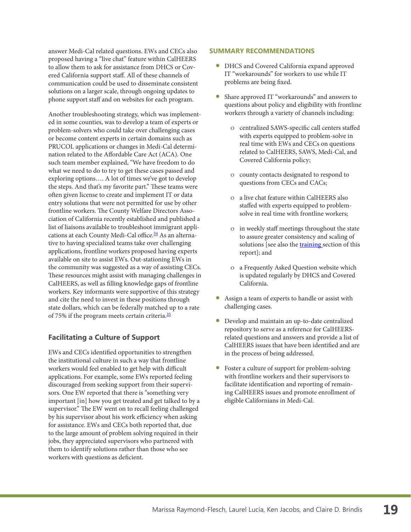answer Medi-Cal related questions. EWs and CECs also proposed having a "live chat" feature within CalHEERS to allow them to ask for assistance from DHCS or Covered California support staff. All of these channels of communication could be used to disseminate consistent solutions on a larger scale, through ongoing updates to phone support staff and on websites for each program.

Another troubleshooting strategy, which was implemented in some counties, was to develop a team of experts or problem-solvers who could take over challenging cases or become content experts in certain domains such as PRUCOL applications or changes in Medi-Cal determination related to the Affordable Care Act (ACA). One such team member explained, "We have freedom to do what we need to do to try to get these cases passed and exploring options…. A lot of times we've got to develop the steps. And that's my favorite part." These teams were often given license to create and implement IT or data entry solutions that were not permitted for use by other frontline workers. The County Welfare Directors Association of California recently established and published a list of liaisons available to troubleshoot immigrant appli-cations at each County Medi-Cal office.<sup>[34](#page-36-6)</sup> As an alternative to having specialized teams take over challenging applications, frontline workers proposed having experts available on site to assist EWs. Out-stationing EWs in the community was suggested as a way of assisting CECs. These resources might assist with managing challenges in CalHEERS, as well as filling knowledge gaps of frontline workers. Key informants were supportive of this strategy and cite the need to invest in these positions through state dollars, which can be federally matched up to a rate of 75% if the program meets certain criteria.<sup>35</sup>

# <span id="page-18-1"></span><span id="page-18-0"></span>**Facilitating a Culture of Support**

EWs and CECs identified opportunities to strengthen the institutional culture in such a way that frontline workers would feel enabled to get help with difficult applications. For example, some EWs reported feeling discouraged from seeking support from their supervisors. One EW reported that there is "something very important [in] how you get treated and get talked to by a supervisor." The EW went on to recall feeling challenged by his supervisor about his work efficiency when asking for assistance. EWs and CECs both reported that, due to the large amount of problem solving required in their jobs, they appreciated supervisors who partnered with them to identify solutions rather than those who see workers with questions as deficient.

#### **SUMMARY RECOMMENDATIONS**

- DHCS and Covered California expand approved IT "workarounds" for workers to use while IT problems are being fixed.
- Share approved IT "workarounds" and answers to questions about policy and eligibility with frontline workers through a variety of channels including:
	- o centralized SAWS-specific call centers staffed with experts equipped to problem-solve in real time with EWs and CECs on questions related to CalHEERS, SAWS, Medi-Cal, and Covered California policy;
	- ļ county contacts designated to respond to questions from CECs and CACs;
	- ļ a live chat feature within CalHEERS also staffed with experts equipped to problemsolve in real time with frontline workers;
	- o in weekly staff meetings throughout the state to assure greater consistency and scaling of solutions [see also the [training s](#page-11-0)ection of this report]; and
	- ļ a Frequently Asked Question website which is updated regularly by DHCS and Covered California.
- Assign a team of experts to handle or assist with challenging cases.
- Develop and maintain an up-to-date centralized repository to serve as a reference for CalHEERSrelated questions and answers and provide a list of CalHEERS issues that have been identified and are in the process of being addressed.
- Foster a culture of support for problem-solving with frontline workers and their supervisors to facilitate identification and reporting of remaining CalHEERS issues and promote enrollment of eligible Californians in Medi-Cal.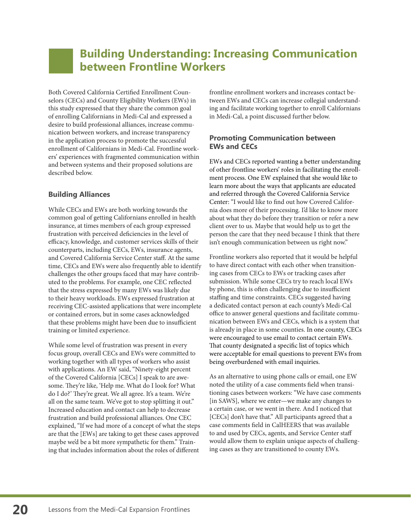# <span id="page-19-0"></span>**Building Understanding: Increasing Communication between Frontline Workers**

Both Covered California Certified Enrollment Counselors (CECs) and County Eligibility Workers (EWs) in this study expressed that they share the common goal of enrolling Californians in Medi-Cal and expressed a desire to build professional alliances, increase communication between workers, and increase transparency in the application process to promote the successful enrollment of Californians in Medi-Cal. Frontline workers' experiences with fragmented communication within and between systems and their proposed solutions are described below.

## **Building Alliances**

While CECs and EWs are both working towards the common goal of getting Californians enrolled in health insurance, at times members of each group expressed frustration with perceived deficiencies in the level of efficacy, knowledge, and customer services skills of their counterparts, including CECs, EWs, insurance agents, and Covered California Service Center staff. At the same time, CECs and EWs were also frequently able to identify challenges the other groups faced that may have contributed to the problems. For example, one CEC reflected that the stress expressed by many EWs was likely due to their heavy workloads. EWs expressed frustration at receiving CEC-assisted applications that were incomplete or contained errors, but in some cases acknowledged that these problems might have been due to insufficient training or limited experience.

While some level of frustration was present in every focus group, overall CECs and EWs were committed to working together with all types of workers who assist with applications. An EW said, "Ninety-eight percent of the Covered California [CECs] I speak to are awesome. They're like, 'Help me. What do I look for? What do I do?' They're great. We all agree. It's a team. We're all on the same team. We've got to stop splitting it out." Increased education and contact can help to decrease frustration and build professional alliances. One CEC explained, "If we had more of a concept of what the steps are that the [EWs] are taking to get these cases approved maybe we'd be a bit more sympathetic for them." Training that includes information about the roles of different

frontline enrollment workers and increases contact between EWs and CECs can increase collegial understanding and facilitate working together to enroll Californians in Medi-Cal, a point discussed further below.

## **Promoting Communication between EWs and CECs**

EWs and CECs reported wanting a better understanding of other frontline workers' roles in facilitating the enrollment process. One EW explained that she would like to learn more about the ways that applicants are educated and referred through the Covered California Service Center: "I would like to find out how Covered California does more of their processing. I'd like to know more about what they do before they transition or refer a new client over to us. Maybe that would help us to get the person the care that they need because I think that there isn't enough communication between us right now."

Frontline workers also reported that it would be helpful to have direct contact with each other when transitioning cases from CECs to EWs or tracking cases after submission. While some CECs try to reach local EWs by phone, this is often challenging due to insufficient staffing and time constraints. CECs suggested having a dedicated contact person at each county's Medi-Cal office to answer general questions and facilitate communication between EWs and CECs, which is a system that is already in place in some counties. In one county, CECs were encouraged to use email to contact certain EWs. That county designated a specific list of topics which were acceptable for email questions to prevent EWs from being overburdened with email inquiries.

As an alternative to using phone calls or email, one EW noted the utility of a case comments field when transitioning cases between workers: "We have case comments [in SAWS], where we enter—we make any changes to a certain case, or we went in there. And I noticed that [CECs] don't have that." All participants agreed that a case comments field in CalHEERS that was available to and used by CECs, agents, and Service Center staff would allow them to explain unique aspects of challenging cases as they are transitioned to county EWs.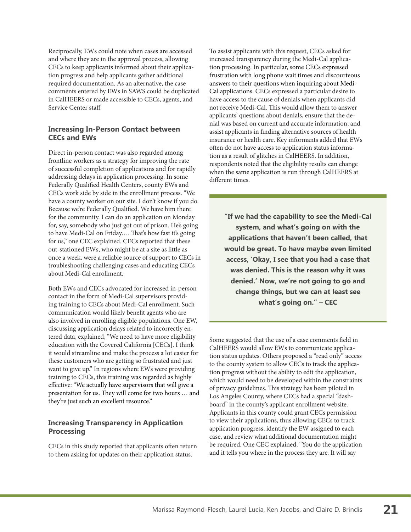Reciprocally, EWs could note when cases are accessed and where they are in the approval process, allowing CECs to keep applicants informed about their application progress and help applicants gather additional required documentation. As an alternative, the case comments entered by EWs in SAWS could be duplicated in CalHEERS or made accessible to CECs, agents, and Service Center staff.

## **Increasing In-Person Contact between CECs and EWs**

Direct in-person contact was also regarded among frontline workers as a strategy for improving the rate of successful completion of applications and for rapidly addressing delays in application processing. In some Federally Qualified Health Centers, county EWs and CECs work side by side in the enrollment process. "We have a county worker on our site. I don't know if you do. Because we're Federally Qualified. We have him there for the community. I can do an application on Monday for, say, somebody who just got out of prison. He's going to have Medi-Cal on Friday…. That's how fast it's going for us," one CEC explained. CECs reported that these out-stationed EWs, who might be at a site as little as once a week, were a reliable source of support to CECs in troubleshooting challenging cases and educating CECs about Medi-Cal enrollment.

Both EWs and CECs advocated for increased in-person contact in the form of Medi-Cal supervisors providing training to CECs about Medi-Cal enrollment. Such communication would likely benefit agents who are also involved in enrolling eligible populations. One EW, discussing application delays related to incorrectly entered data, explained, "We need to have more eligibility education with the Covered California [CECs]. I think it would streamline and make the process a lot easier for these customers who are getting so frustrated and just want to give up." In regions where EWs were providing training to CECs, this training was regarded as highly effective: "We actually have supervisors that will give a presentation for us. They will come for two hours … and they're just such an excellent resource."

## **Increasing Transparency in Application Processing**

CECs in this study reported that applicants often return to them asking for updates on their application status.

To assist applicants with this request, CECs asked for increased transparency during the Medi-Cal application processing. In particular, some CECs expressed frustration with long phone wait times and discourteous answers to their questions when inquiring about Medi-Cal applications. CECs expressed a particular desire to have access to the cause of denials when applicants did not receive Medi-Cal. This would allow them to answer applicants' questions about denials, ensure that the denial was based on current and accurate information, and assist applicants in finding alternative sources of health insurance or health care. Key informants added that EWs often do not have access to application status information as a result of glitches in CalHEERS. In addition, respondents noted that the eligibility results can change when the same application is run through CalHEERS at different times.

**"If we had the capability to see the Medi-Cal system, and what's going on with the applications that haven't been called, that would be great. To have maybe even limited access, 'Okay, I see that you had a case that was denied. This is the reason why it was denied.' Now, we're not going to go and change things, but we can at least see what's going on." – CEC**

Some suggested that the use of a case comments field in CalHEERS would allow EWs to communicate application status updates. Others proposed a "read only" access to the county system to allow CECs to track the application progress without the ability to edit the application, which would need to be developed within the constraints of privacy guidelines. This strategy has been piloted in Los Angeles County, where CECs had a special "dashboard" in the county's applicant enrollment website. Applicants in this county could grant CECs permission to view their applications, thus allowing CECs to track application progress, identify the EW assigned to each case, and review what additional documentation might be required. One CEC explained, "You do the application and it tells you where in the process they are. It will say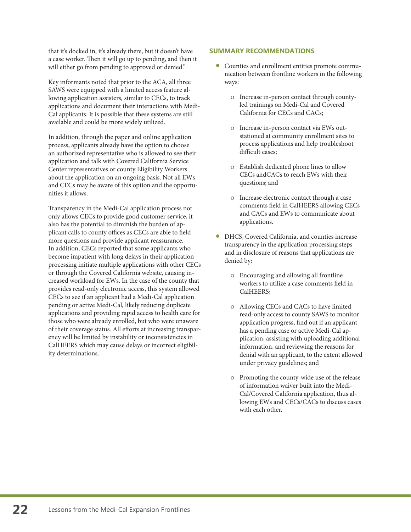that it's docked in, it's already there, but it doesn't have a case worker. Then it will go up to pending, and then it will either go from pending to approved or denied."

Key informants noted that prior to the ACA, all three SAWS were equipped with a limited access feature allowing application assisters, similar to CECs, to track applications and document their interactions with Medi-Cal applicants. It is possible that these systems are still available and could be more widely utilized.

In addition, through the paper and online application process, applicants already have the option to choose an authorized representative who is allowed to see their application and talk with Covered California Service Center representatives or county Eligibility Workers about the application on an ongoing basis. Not all EWs and CECs may be aware of this option and the opportunities it allows.

Transparency in the Medi-Cal application process not only allows CECs to provide good customer service, it also has the potential to diminish the burden of applicant calls to county offices as CECs are able to field more questions and provide applicant reassurance. In addition, CECs reported that some applicants who become impatient with long delays in their application processing initiate multiple applications with other CECs or through the Covered California website, causing increased workload for EWs. In the case of the county that provides read-only electronic access, this system allowed CECs to see if an applicant had a Medi-Cal application pending or active Medi-Cal, likely reducing duplicate applications and providing rapid access to health care for those who were already enrolled, but who were unaware of their coverage status. All efforts at increasing transparency will be limited by instability or inconsistencies in CalHEERS which may cause delays or incorrect eligibility determinations.

#### **SUMMARY RECOMMENDATIONS**

- Counties and enrollment entities promote communication between frontline workers in the following ways:
	- ļ Increase in-person contact through countyled trainings on Medi-Cal and Covered California for CECs and CACs;
	- o Increase in-person contact via EWs outstationed at community enrollment sites to process applications and help troubleshoot difficult cases;
	- ļ Establish dedicated phone lines to allow CECs andCACs to reach EWs with their questions; and
	- ļ Increase electronic contact through a case comments field in CalHEERS allowing CECs and CACs and EWs to communicate about applications.
- DHCS, Covered California, and counties increase transparency in the application processing steps and in disclosure of reasons that applications are denied by:
	- ļ Encouraging and allowing all frontline workers to utilize a case comments field in CalHEERS;
	- ļ Allowing CECs and CACs to have limited read-only access to county SAWS to monitor application progress, find out if an applicant has a pending case or active Medi-Cal application, assisting with uploading additional information, and reviewing the reasons for denial with an applicant, to the extent allowed under privacy guidelines; and
	- ļ Promoting the county-wide use of the release of information waiver built into the Medi-Cal/Covered California application, thus allowing EWs and CECs/CACs to discuss cases with each other.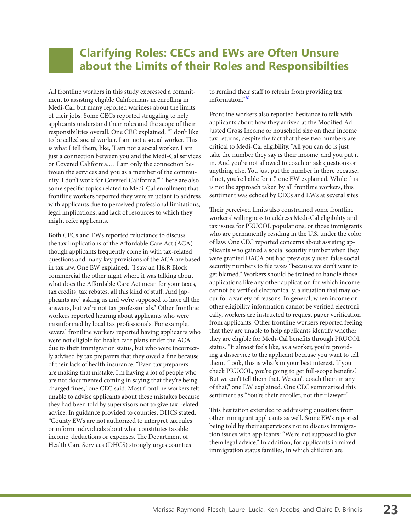# <span id="page-22-0"></span>**Clarifying Roles: CECs and EWs are Often Unsure about the Limits of their Roles and Responsibilties**

All frontline workers in this study expressed a commitment to assisting eligible Californians in enrolling in Medi-Cal, but many reported wariness about the limits of their jobs. Some CECs reported struggling to help applicants understand their roles and the scope of their responsibilities overall. One CEC explained, "I don't like to be called social worker. I am not a social worker. This is what I tell them, like, 'I am not a social worker. I am just a connection between you and the Medi-Cal services or Covered California.… I am only the connection between the services and you as a member of the community. I don't work for Covered California.'" There are also some specific topics related to Medi-Cal enrollment that frontline workers reported they were reluctant to address with applicants due to perceived professional limitations, legal implications, and lack of resources to which they might refer applicants.

Both CECs and EWs reported reluctance to discuss the tax implications of the Affordable Care Act (ACA) though applicants frequently come in with tax-related questions and many key provisions of the ACA are based in tax law. One EW explained, "I saw an H&R Block commercial the other night where it was talking about what does the Affordable Care Act mean for your taxes, tax credits, tax rebates, all this kind of stuff. And [applicants are] asking us and we're supposed to have all the answers, but we're not tax professionals." Other frontline workers reported hearing about applicants who were misinformed by local tax professionals. For example, several frontline workers reported having applicants who were not eligible for health care plans under the ACA due to their immigration status, but who were incorrectly advised by tax preparers that they owed a fine because of their lack of health insurance. "Even tax preparers are making that mistake. I'm having a lot of people who are not documented coming in saying that they're being charged fines," one CEC said. Most frontline workers felt unable to advise applicants about these mistakes because they had been told by supervisors not to give tax-related advice. In guidance provided to counties, DHCS stated, "County EWs are not authorized to interpret tax rules or inform individuals about what constitutes taxable income, deductions or expenses. The Department of Health Care Services (DHCS) strongly urges counties

<span id="page-22-1"></span>to remind their staff to refrain from providing tax information.["36](#page-36-8)

Frontline workers also reported hesitance to talk with applicants about how they arrived at the Modified Adjusted Gross Income or household size on their income tax returns, despite the fact that these two numbers are critical to Medi-Cal eligibility. "All you can do is just take the number they say is their income, and you put it in. And you're not allowed to coach or ask questions or anything else. You just put the number in there because, if not, you're liable for it," one EW explained. While this is not the approach taken by all frontline workers, this sentiment was echoed by CECs and EWs at several sites.

Their perceived limits also constrained some frontline workers' willingness to address Medi-Cal eligibility and tax issues for PRUCOL populations, or those immigrants who are permanently residing in the U.S. under the color of law. One CEC reported concerns about assisting applicants who gained a social security number when they were granted DACA but had previously used false social security numbers to file taxes "because we don't want to get blamed." Workers should be trained to handle those applications like any other application for which income cannot be verified electronically, a situation that may occur for a variety of reasons. In general, when income or other eligibility information cannot be verified electronically, workers are instructed to request paper verification from applicants. Other frontline workers reported feeling that they are unable to help applicants identify whether they are eligible for Medi-Cal benefits through PRUCOL status. "It almost feels like, as a worker, you're providing a disservice to the applicant because you want to tell them, 'Look, this is what's in your best interest. If you check PRUCOL, you're going to get full-scope benefits.' But we can't tell them that. We can't coach them in any of that," one EW explained. One CEC summarized this sentiment as "You're their enroller, not their lawyer."

This hesitation extended to addressing questions from other immigrant applicants as well. Some EWs reported being told by their supervisors not to discuss immigration issues with applicants: "We're not supposed to give them legal advice." In addition, for applicants in mixed immigration status families, in which children are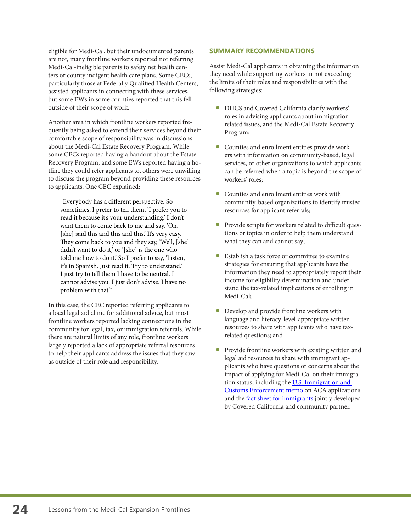eligible for Medi-Cal, but their undocumented parents are not, many frontline workers reported not referring Medi-Cal-ineligible parents to safety net health centers or county indigent health care plans. Some CECs, particularly those at Federally Qualified Health Centers, assisted applicants in connecting with these services, but some EWs in some counties reported that this fell outside of their scope of work.

Another area in which frontline workers reported frequently being asked to extend their services beyond their comfortable scope of responsibility was in discussions about the Medi-Cal Estate Recovery Program. While some CECs reported having a handout about the Estate Recovery Program, and some EWs reported having a hotline they could refer applicants to, others were unwilling to discuss the program beyond providing these resources to applicants. One CEC explained:

"Everybody has a different perspective. So sometimes, I prefer to tell them, 'I prefer you to read it because it's your understanding.' I don't want them to come back to me and say, 'Oh, [she] said this and this and this.' It's very easy. They come back to you and they say, 'Well, [she] didn't want to do it,' or '[she] is the one who told me how to do it.' So I prefer to say, 'Listen, it's in Spanish. Just read it. Try to understand.' I just try to tell them I have to be neutral. I cannot advise you. I just don't advise. I have no problem with that."

In this case, the CEC reported referring applicants to a local legal aid clinic for additional advice, but most frontline workers reported lacking connections in the community for legal, tax, or immigration referrals. While there are natural limits of any role, frontline workers largely reported a lack of appropriate referral resources to help their applicants address the issues that they saw as outside of their role and responsibility.

#### **SUMMARY RECOMMENDATIONS**

Assist Medi-Cal applicants in obtaining the information they need while supporting workers in not exceeding the limits of their roles and responsibilities with the following strategies:

- DHCS and Covered California clarify workers' roles in advising applicants about immigrationrelated issues, and the Medi-Cal Estate Recovery Program;
- Counties and enrollment entities provide workers with information on community-based, legal services, or other organizations to which applicants can be referred when a topic is beyond the scope of workers' roles;
- Counties and enrollment entities work with community-based organizations to identify trusted resources for applicant referrals;
- Provide scripts for workers related to difficult questions or topics in order to help them understand what they can and cannot say;
- Establish a task force or committee to examine strategies for ensuring that applicants have the information they need to appropriately report their income for eligibility determination and understand the tax-related implications of enrolling in Medi-Cal;
- Develop and provide frontline workers with language and literacy-level-appropriate written resources to share with applicants who have taxrelated questions; and
- Provide frontline workers with existing written and legal aid resources to share with immigrant applicants who have questions or concerns about the impact of applying for Medi-Cal on their immigration status, including the U.S. Immigration and [Customs Enforcement memo](https://www.ice.gov/doclib/ero-outreach/pdf/ice-aca-memo.pdf) on ACA applications and the **fact sheet for immigrants** jointly developed by Covered California and community partner.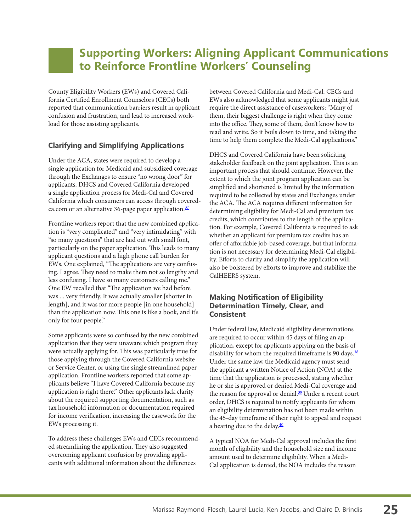# <span id="page-24-0"></span>**Supporting Workers: Aligning Applicant Communications to Reinforce Frontline Workers' Counseling**

County Eligibility Workers (EWs) and Covered California Certified Enrollment Counselors (CECs) both reported that communication barriers result in applicant confusion and frustration, and lead to increased workload for those assisting applicants.

# **Clarifying and Simplifying Applications**

Under the ACA, states were required to develop a single application for Medicaid and subsidized coverage through the Exchanges to ensure "no wrong door" for applicants. DHCS and Covered California developed a single application process for Medi-Cal and Covered California which consumers can access through covered-ca.com or an alternative 36-page paper application.<sup>[37](#page-36-9)</sup>

<span id="page-24-1"></span>Frontline workers report that the new combined application is "very complicated" and "very intimidating" with "so many questions" that are laid out with small font, particularly on the paper application. This leads to many applicant questions and a high phone call burden for EWs. One explained, "The applications are very confusing. I agree. They need to make them not so lengthy and less confusing. I have so many customers calling me." One EW recalled that "The application we had before was ... very friendly. It was actually smaller [shorter in length], and it was for more people [in one household] than the application now. This one is like a book, and it's only for four people."

Some applicants were so confused by the new combined application that they were unaware which program they were actually applying for. This was particularly true for those applying through the Covered California website or Service Center, or using the single streamlined paper application. Frontline workers reported that some applicants believe "I have Covered California because my application is right there." Other applicants lack clarity about the required supporting documentation, such as tax household information or documentation required for income verification, increasing the casework for the EWs processing it.

To address these challenges EWs and CECs recommended streamlining the application. They also suggested overcoming applicant confusion by providing applicants with additional information about the differences

between Covered California and Medi-Cal. CECs and EWs also acknowledged that some applicants might just require the direct assistance of caseworkers: "Many of them, their biggest challenge is right when they come into the office. They, some of them, don't know how to read and write. So it boils down to time, and taking the time to help them complete the Medi-Cal applications."

DHCS and Covered California have been soliciting stakeholder feedback on the joint application. This is an important process that should continue. However, the extent to which the joint program application can be simplified and shortened is limited by the information required to be collected by states and Exchanges under the ACA. The ACA requires different information for determining eligibility for Medi-Cal and premium tax credits, which contributes to the length of the application. For example, Covered California is required to ask whether an applicant for premium tax credits has an offer of affordable job-based coverage, but that information is not necessary for determining Medi-Cal eligibility. Efforts to clarify and simplify the application will also be bolstered by efforts to improve and stabilize the CalHEERS system.

## **Making Notification of Eligibility Determination Timely, Clear, and Consistent**

<span id="page-24-2"></span>Under federal law, Medicaid eligibility determinations are required to occur within 45 days of filing an application, except for applicants applying on the basis of disability for whom the required timeframe is 90 days.<sup>[38](#page-36-10)</sup> Under the same law, the Medicaid agency must send the applicant a written Notice of Action (NOA) at the time that the application is processed, stating whether he or she is approved or denied Medi-Cal coverage and the reason for approval or denial. $39$  Under a recent court order, DHCS is required to notify applicants for whom an eligibility determination has not been made within the 45-day timeframe of their right to appeal and request a hearing due to the delay. $\frac{40}{2}$ 

<span id="page-24-4"></span><span id="page-24-3"></span>A typical NOA for Medi-Cal approval includes the first month of eligibility and the household size and income amount used to determine eligibility. When a Medi-Cal application is denied, the NOA includes the reason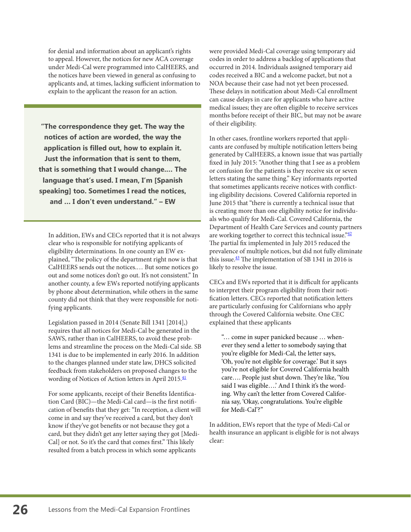for denial and information about an applicant's rights to appeal. However, the notices for new ACA coverage under Medi-Cal were programmed into CalHEERS, and the notices have been viewed in general as confusing to applicants and, at times, lacking sufficient information to explain to the applicant the reason for an action.

**"The correspondence they get. The way the notices of action are worded, the way the application is filled out, how to explain it. Just the information that is sent to them, that is something that I would change.… The language that's used. I mean, I'm [Spanish speaking] too. Sometimes I read the notices, and … I don't even understand." – EW**

In addition, EWs and CECs reported that it is not always clear who is responsible for notifying applicants of eligibility determinations. In one county an EW explained, "The policy of the department right now is that CalHEERS sends out the notices.… But some notices go out and some notices don't go out. It's not consistent." In another county, a few EWs reported notifying applicants by phone about determination, while others in the same county did not think that they were responsible for notifying applicants.

Legislation passed in 2014 (Senate Bill 1341 [2014],) requires that all notices for Medi-Cal be generated in the SAWS, rather than in CalHEERS, to avoid these problems and streamline the process on the Medi-Cal side. SB 1341 is due to be implemented in early 2016. In addition to the changes planned under state law, DHCS solicited feedback from stakeholders on proposed changes to the wording of Notices of Action letters in April 2015.<sup>41</sup>

<span id="page-25-0"></span>For some applicants, receipt of their Benefits Identification Card (BIC)—the Medi-Cal card—is the first notification of benefits that they get: "In reception, a client will come in and say they've received a card, but they don't know if they've got benefits or not because they got a card, but they didn't get any letter saying they got [Medi-Cal] or not. So it's the card that comes first." This likely resulted from a batch process in which some applicants

were provided Medi-Cal coverage using temporary aid codes in order to address a backlog of applications that occurred in 2014. Individuals assigned temporary aid codes received a BIC and a welcome packet, but not a NOA because their case had not yet been processed. These delays in notification about Medi-Cal enrollment can cause delays in care for applicants who have active medical issues; they are often eligible to receive services months before receipt of their BIC, but may not be aware of their eligibility.

In other cases, frontline workers reported that applicants are confused by multiple notification letters being generated by CalHEERS, a known issue that was partially fixed in July 2015: "Another thing that I see as a problem or confusion for the patients is they receive six or seven letters stating the same thing." Key informants reported that sometimes applicants receive notices with conflicting eligibility decisions. Covered California reported in June 2015 that "there is currently a technical issue that is creating more than one eligibility notice for individuals who qualify for Medi-Cal. Covered California, the Department of Health Care Services and county partners are working together to correct this technical issue."<sup>42</sup> The partial fix implemented in July 2015 reduced the prevalence of multiple notices, but did not fully eliminate this issue.<sup>43</sup> The implementation of SB 1341 in 2016 is likely to resolve the issue.

<span id="page-25-2"></span><span id="page-25-1"></span>CECs and EWs reported that it is difficult for applicants to interpret their program eligibility from their notification letters. CECs reported that notification letters are particularly confusing for Californians who apply through the Covered California website. One CEC explained that these applicants

"… come in super panicked because … whenever they send a letter to somebody saying that you're eligible for Medi-Cal, the letter says, 'Oh, you're not eligible for coverage.' But it says you're not eligible for Covered California health care…. People just shut down. They're like, 'You said I was eligible...' And I think it's the wording. Why can't the letter from Covered California say, 'Okay, congratulations. You're eligible for Medi-Cal'?"

In addition, EWs report that the type of Medi-Cal or health insurance an applicant is eligible for is not always clear: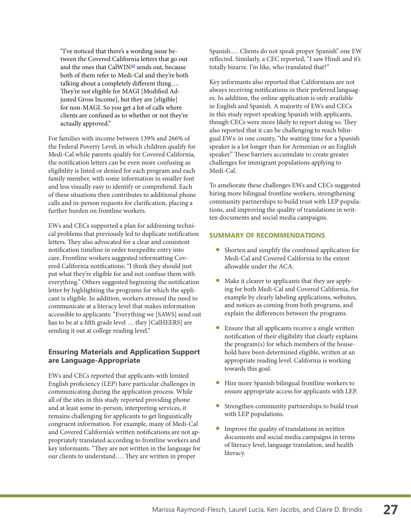<span id="page-26-0"></span>"I've noticed that there's a wording issue between the Covered California letters that go out and the ones that CalWIN<sup>44</sup> sends out, because both of them refer to Medi-Cal and they're both talking about a completely different thing…. They're not eligible for MAGI [Modified Adjusted Gross Income], but they are [eligible] for non-MAGI. So you get a lot of calls where clients are confused as to whether or not they're actually approved."

For families with income between 139% and 266% of the Federal Poverty Level, in which children qualify for Medi-Cal while parents qualify for Covered California, the notification letters can be even more confusing as eligibility is listed or denied for each program and each family member, with some information in smaller font and less visually easy to identify or comprehend. Each of these situations then contributes to additional phone calls and in-person requests for clarification, placing a further burden on frontline workers.

EWs and CECs supported a plan for addressing technical problems that previously led to duplicate notification letters. They also advocated for a clear and consistent notification timeline in order toexpedite entry into care. Frontline workers suggested reformatting Covered California notifications: "I think they should just put what they're eligible for and not confuse them with everything." Others suggested beginning the notification letter by highlighting the programs for which the applicant is eligible. In addition, workers stressed the need to communicate at a literacy level that makes information accessible to applicants: "Everything we [SAWS] send out has to be at a fifth grade level ... they [CalHEERS] are sending it out at college reading level."

## **Ensuring Materials and Application Support are Language-Appropriate**

EWs and CECs reported that applicants with limited English proficiency (LEP) have particular challenges in communicating during the application process. While all of the sites in this study reported providing phone and at least some in-person, interpreting services, it remains challenging for applicants to get linguistically congruent information. For example, many of Medi-Cal and Covered California's written notifications are not appropriately translated according to frontline workers and key informants. "They are not written in the language for our clients to understand…. They are written in proper

Spanish.… Clients do not speak proper Spanish" one EW reflected. Similarly, a CEC reported, "I saw Hindi and it's totally bizarre. I'm like, who translated that?"

Key informants also reported that Californians are not always receiving notifications in their preferred languages. In addition, the online application is only available in English and Spanish. A majority of EWs and CECs in this study report speaking Spanish with applicants, though CECs were more likely to report doing so. They also reported that it can be challenging to reach bilingual EWs: in one county, "the waiting time for a Spanish speaker is a lot longer than for Armenian or an English speaker." These barriers accumulate to create greater challenges for immigrant populations applying to Medi-Cal.

To ameliorate these challenges EWs and CECs suggested hiring more bilingual frontline workers, strengthening community partnerships to build trust with LEP populations, and improving the quality of translations in written documents and social media campaigns.

#### **SUMMARY OF RECOMMENDATIONS**

- Shorten and simplify the combined application for Medi-Cal and Covered California to the extent allowable under the ACA.
- Make it clearer to applicants that they are applying for both Medi-Cal and Covered California, for example by clearly labeling applications, websites, and notices as coming from both programs, and explain the differences between the programs.
- Ensure that all applicants receive a single written notification of their eligibility that clearly explains the program(s) for which members of the household have been determined eligible, written at an appropriate reading level. California is working towards this goal.
- Hire more Spanish bilingual frontline workers to ensure appropriate access for applicants with LEP.
- Strengthen community partnerships to build trust with LEP populations.
- Improve the quality of translations in written documents and social media campaigns in terms of literacy level, language translation, and health literacy.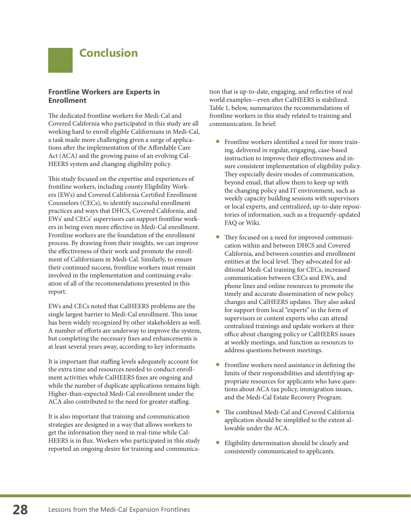# <span id="page-27-0"></span>**Conclusion**

## **Frontline Workers are Experts in Enrollment**

The dedicated frontline workers for Medi-Cal and Covered California who participated in this study are all working hard to enroll eligible Californians in Medi-Cal, a task made more challenging given a surge of applications after the implementation of the Affordable Care Act (ACA) and the growing pains of an evolving Cal-HEERS system and changing eligibility policy.

This study focused on the expertise and experiences of frontline workers, including county Eligibility Workers (EWs) and Covered California Certified Enrollment Counselors (CECs), to identify successful enrollment practices and ways that DHCS, Covered California, and EWs' and CECs' supervisors can support frontline workers in being even more effective in Medi-Cal enrollment. Frontline workers are the foundation of the enrollment process. By drawing from their insights, we can improve the effectiveness of their work and promote the enrollment of Californians in Medi-Cal. Similarly, to ensure their continued success, frontline workers must remain involved in the implementation and continuing evaluation of all of the recommendations presented in this report.

EWs and CECs noted that CalHEERS problems are the single largest barrier to Medi-Cal enrollment. This issue has been widely recognized by other stakeholders as well. A number of efforts are underway to improve the system, but completing the necessary fixes and enhancements is at least several years away, according to key informants.

It is important that staffing levels adequately account for the extra time and resources needed to conduct enrollment activities while CalHEERS fixes are ongoing and while the number of duplicate applications remains high. Higher-than-expected Medi-Cal enrollment under the ACA also contributed to the need for greater staffing.

It is also important that training and communication strategies are designed in a way that allows workers to get the information they need in real-time while Cal-HEERS is in flux. Workers who participated in this study reported an ongoing desire for training and communication that is up-to-date, engaging, and reflective of real world examples—even after CalHEERS is stabilized. Table 1, below, summarizes the recommendations of frontline workers in this study related to training and communication. In brief:

- Frontline workers identified a need for more training, delivered in regular, engaging, case-based instruction to improve their effectiveness and insure consistent implementation of eligibility policy. They especially desire modes of communication, beyond email, that allow them to keep up with the changing policy and IT environment, such as weekly capacity building sessions with supervisors or local experts, and centralized, up-to-date repositories of information, such as a frequently-updated FAQ or Wiki.
- They focused on a need for improved communication within and between DHCS and Covered California, and between counties and enrollment entities at the local level. They advocated for additional Medi-Cal training for CECs, increased communication between CECs and EWs, and phone lines and online resources to promote the timely and accurate dissemination of new policy changes and CalHEERS updates. They also asked for support from local "experts" in the form of supervisors or content experts who can attend centralized trainings and update workers at their office about changing policy or CalHEERS issues at weekly meetings, and function as resources to address questions between meetings.
- Frontline workers need assistance in defining the limits of their responsibilities and identifying appropriate resources for applicants who have questions about ACA tax policy, immigration issues, and the Medi-Cal Estate Recovery Program.
- The combined Medi-Cal and Covered California application should be simplified to the extent allowable under the ACA.
- Eligibility determination should be clearly and consistently communicated to applicants.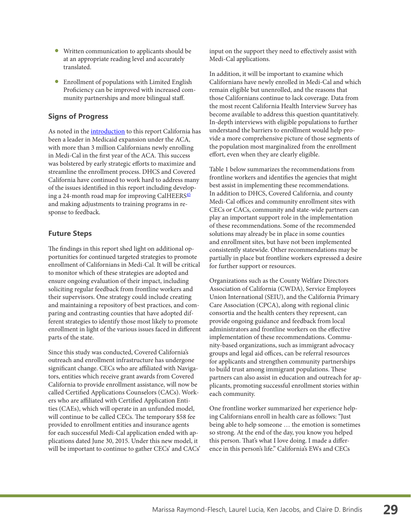- Written communication to applicants should be at an appropriate reading level and accurately translated.
- Enrollment of populations with Limited English Proficiency can be improved with increased community partnerships and more bilingual staff.

## **Signs of Progress**

As noted in the [introduction](#page-4-0) to this report California has been a leader in Medicaid expansion under the ACA, with more than 3 million Californians newly enrolling in Medi-Cal in the first year of the ACA. This success was bolstered by early strategic efforts to maximize and streamline the enrollment process. DHCS and Covered California have continued to work hard to address many of the issues identified in this report including developing a 24-month road map for improving CalHEERS<sup>45</sup> and making adjustments to training programs in response to feedback.

## <span id="page-28-0"></span>**Future Steps**

The findings in this report shed light on additional opportunities for continued targeted strategies to promote enrollment of Californians in Medi-Cal. It will be critical to monitor which of these strategies are adopted and ensure ongoing evaluation of their impact, including soliciting regular feedback from frontline workers and their supervisors. One strategy could include creating and maintaining a repository of best practices, and comparing and contrasting counties that have adopted different strategies to identify those most likely to promote enrollment in light of the various issues faced in different parts of the state.

Since this study was conducted, Covered California's outreach and enrollment infrastructure has undergone significant change. CECs who are affiliated with Navigators, entities which receive grant awards from Covered California to provide enrollment assistance, will now be called Certified Applications Counselors (CACs). Workers who are affiliated with Certified Application Entities (CAEs), which will operate in an unfunded model, will continue to be called CECs. The temporary \$58 fee provided to enrollment entities and insurance agents for each successful Medi-Cal application ended with applications dated June 30, 2015. Under this new model, it will be important to continue to gather CECs' and CACs' input on the support they need to effectively assist with Medi-Cal applications.

In addition, it will be important to examine which Californians have newly enrolled in Medi-Cal and which remain eligible but unenrolled, and the reasons that those Californians continue to lack coverage. Data from the most recent California Health Interview Survey has become available to address this question quantitatively. In-depth interviews with eligible populations to further understand the barriers to enrollment would help provide a more comprehensive picture of those segments of the population most marginalized from the enrollment effort, even when they are clearly eligible.

Table 1 below summarizes the recommendations from frontline workers and identifies the agencies that might best assist in implementing these recommendations. In addition to DHCS, Covered California, and county Medi-Cal offices and community enrollment sites with CECs or CACs, community and state-wide partners can play an important support role in the implementation of these recommendations. Some of the recommended solutions may already be in place in some counties and enrollment sites, but have not been implemented consistently statewide. Other recommendations may be partially in place but frontline workers expressed a desire for further support or resources.

Organizations such as the County Welfare Directors Association of California (CWDA), Service Employees Union International (SEIU), and the California Primary Care Association (CPCA), along with regional clinic consortia and the health centers they represent, can provide ongoing guidance and feedback from local administrators and frontline workers on the effective implementation of these recommendations. Community-based organizations, such as immigrant advocacy groups and legal aid offices, can be referral resources for applicants and strengthen community partnerships to build trust among immigrant populations. These partners can also assist in education and outreach for applicants, promoting successful enrollment stories within each community.

One frontline worker summarized her experience helping Californians enroll in health care as follows: "Just being able to help someone … the emotion is sometimes so strong. At the end of the day, you know you helped this person. That's what I love doing. I made a difference in this person's life." California's EWs and CECs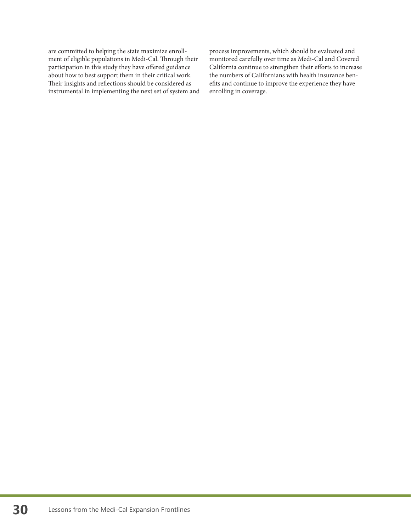are committed to helping the state maximize enrollment of eligible populations in Medi-Cal. Through their participation in this study they have offered guidance about how to best support them in their critical work. Their insights and reflections should be considered as instrumental in implementing the next set of system and process improvements, which should be evaluated and monitored carefully over time as Medi-Cal and Covered California continue to strengthen their efforts to increase the numbers of Californians with health insurance benefits and continue to improve the experience they have enrolling in coverage.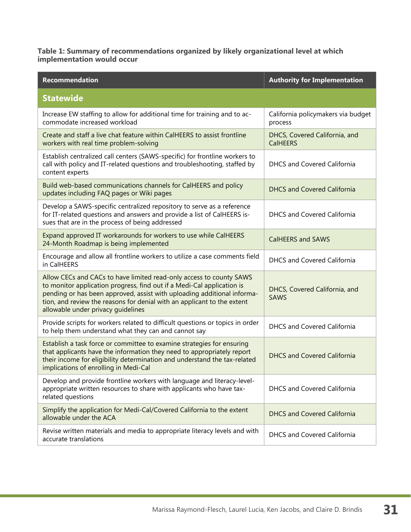**Table 1: Summary of recommendations organized by likely organizational level at which implementation would occur**

| <b>Recommendation</b>                                                                                                                                                                                                                                                                                                                     | <b>Authority for Implementation</b>              |
|-------------------------------------------------------------------------------------------------------------------------------------------------------------------------------------------------------------------------------------------------------------------------------------------------------------------------------------------|--------------------------------------------------|
| <b>Statewide</b>                                                                                                                                                                                                                                                                                                                          |                                                  |
| Increase EW staffing to allow for additional time for training and to ac-<br>commodate increased workload                                                                                                                                                                                                                                 | California policymakers via budget<br>process    |
| Create and staff a live chat feature within CalHEERS to assist frontline<br>workers with real time problem-solving                                                                                                                                                                                                                        | DHCS, Covered California, and<br><b>CalHEERS</b> |
| Establish centralized call centers (SAWS-specific) for frontline workers to<br>call with policy and IT-related questions and troubleshooting, staffed by<br>content experts                                                                                                                                                               | <b>DHCS and Covered California</b>               |
| Build web-based communications channels for CalHEERS and policy<br>updates including FAQ pages or Wiki pages                                                                                                                                                                                                                              | <b>DHCS and Covered California</b>               |
| Develop a SAWS-specific centralized repository to serve as a reference<br>for IT-related questions and answers and provide a list of CalHEERS is-<br>sues that are in the process of being addressed                                                                                                                                      | <b>DHCS and Covered California</b>               |
| Expand approved IT workarounds for workers to use while CalHEERS<br>24-Month Roadmap is being implemented                                                                                                                                                                                                                                 | <b>CalHEERS and SAWS</b>                         |
| Encourage and allow all frontline workers to utilize a case comments field<br>in CalHEERS                                                                                                                                                                                                                                                 | <b>DHCS and Covered California</b>               |
| Allow CECs and CACs to have limited read-only access to county SAWS<br>to monitor application progress, find out if a Medi-Cal application is<br>pending or has been approved, assist with uploading additional informa-<br>tion, and review the reasons for denial with an applicant to the extent<br>allowable under privacy quidelines | DHCS, Covered California, and<br><b>SAWS</b>     |
| Provide scripts for workers related to difficult questions or topics in order<br>to help them understand what they can and cannot say                                                                                                                                                                                                     | <b>DHCS and Covered California</b>               |
| Establish a task force or committee to examine strategies for ensuring<br>that applicants have the information they need to appropriately report<br>their income for eligibility determination and understand the tax-related<br>implications of enrolling in Medi-Cal                                                                    | <b>DHCS and Covered California</b>               |
| Develop and provide frontline workers with language and literacy-level-<br>appropriate written resources to share with applicants who have tax-<br>related questions                                                                                                                                                                      | <b>DHCS and Covered California</b>               |
| Simplify the application for Medi-Cal/Covered California to the extent<br>allowable under the ACA                                                                                                                                                                                                                                         | <b>DHCS and Covered California</b>               |
| Revise written materials and media to appropriate literacy levels and with<br>accurate translations                                                                                                                                                                                                                                       | DHCS and Covered California                      |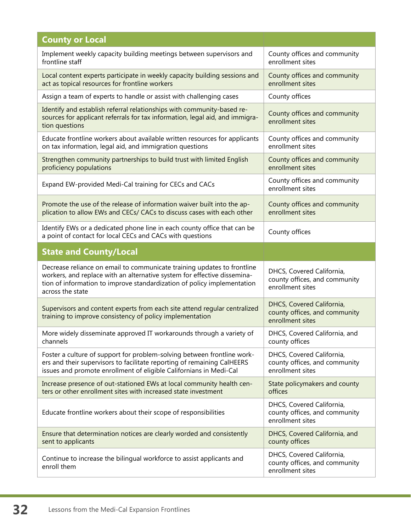| <b>County or Local</b>                                                                                                                                                                                                                             |                                                                                |
|----------------------------------------------------------------------------------------------------------------------------------------------------------------------------------------------------------------------------------------------------|--------------------------------------------------------------------------------|
| Implement weekly capacity building meetings between supervisors and<br>frontline staff                                                                                                                                                             | County offices and community<br>enrollment sites                               |
| Local content experts participate in weekly capacity building sessions and<br>act as topical resources for frontline workers                                                                                                                       | County offices and community<br>enrollment sites                               |
| Assign a team of experts to handle or assist with challenging cases                                                                                                                                                                                | County offices                                                                 |
| Identify and establish referral relationships with community-based re-<br>sources for applicant referrals for tax information, legal aid, and immigra-<br>tion questions                                                                           | County offices and community<br>enrollment sites                               |
| Educate frontline workers about available written resources for applicants<br>on tax information, legal aid, and immigration questions                                                                                                             | County offices and community<br>enrollment sites                               |
| Strengthen community partnerships to build trust with limited English<br>proficiency populations                                                                                                                                                   | County offices and community<br>enrollment sites                               |
| Expand EW-provided Medi-Cal training for CECs and CACs                                                                                                                                                                                             | County offices and community<br>enrollment sites                               |
| Promote the use of the release of information waiver built into the ap-<br>plication to allow EWs and CECs/ CACs to discuss cases with each other                                                                                                  | County offices and community<br>enrollment sites                               |
| Identify EWs or a dedicated phone line in each county office that can be<br>a point of contact for local CECs and CACs with questions                                                                                                              | County offices                                                                 |
| <b>State and County/Local</b>                                                                                                                                                                                                                      |                                                                                |
| Decrease reliance on email to communicate training updates to frontline<br>workers, and replace with an alternative system for effective dissemina-<br>tion of information to improve standardization of policy implementation<br>across the state | DHCS, Covered California,<br>county offices, and community<br>enrollment sites |
| Supervisors and content experts from each site attend regular centralized<br>training to improve consistency of policy implementation                                                                                                              | DHCS, Covered California,<br>county offices, and community<br>enrollment sites |
| More widely disseminate approved IT workarounds through a variety of<br>channels                                                                                                                                                                   | DHCS, Covered California, and<br>county offices                                |
| Foster a culture of support for problem-solving between frontline work-<br>ers and their supervisors to facilitate reporting of remaining CalHEERS<br>issues and promote enrollment of eligible Californians in Medi-Cal                           | DHCS, Covered California,<br>county offices, and community<br>enrollment sites |
| Increase presence of out-stationed EWs at local community health cen-<br>ters or other enrollment sites with increased state investment                                                                                                            | State policymakers and county<br>offices                                       |
| Educate frontline workers about their scope of responsibilities                                                                                                                                                                                    | DHCS, Covered California,<br>county offices, and community<br>enrollment sites |
| Ensure that determination notices are clearly worded and consistently<br>sent to applicants                                                                                                                                                        | DHCS, Covered California, and<br>county offices                                |
| Continue to increase the bilingual workforce to assist applicants and                                                                                                                                                                              | DHCS, Covered California,                                                      |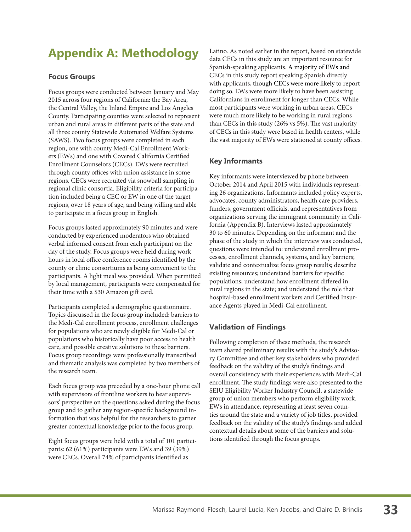# **Appendix A: Methodology**

## **Focus Groups**

Focus groups were conducted between January and May 2015 across four regions of California: the Bay Area, the Central Valley, the Inland Empire and Los Angeles County. Participating counties were selected to represent urban and rural areas in different parts of the state and all three county Statewide Automated Welfare Systems (SAWS). Two focus groups were completed in each region, one with county Medi-Cal Enrollment Workers (EWs) and one with Covered California Certified Enrollment Counselors (CECs). EWs were recruited through county offices with union assistance in some regions. CECs were recruited via snowball sampling in regional clinic consortia. Eligibility criteria for participation included being a CEC or EW in one of the target regions, over 18 years of age, and being willing and able to participate in a focus group in English.

Focus groups lasted approximately 90 minutes and were conducted by experienced moderators who obtained verbal informed consent from each participant on the day of the study. Focus groups were held during work hours in local office conference rooms identified by the county or clinic consortiums as being convenient to the participants. A light meal was provided. When permitted by local management, participants were compensated for their time with a \$30 Amazon gift card.

Participants completed a demographic questionnaire. Topics discussed in the focus group included: barriers to the Medi-Cal enrollment process, enrollment challenges for populations who are newly eligible for Medi-Cal or populations who historically have poor access to health care, and possible creative solutions to these barriers. Focus group recordings were professionally transcribed and thematic analysis was completed by two members of the research team.

Each focus group was preceded by a one-hour phone call with supervisors of frontline workers to hear supervisors' perspective on the questions asked during the focus group and to gather any region-specific background information that was helpful for the researchers to garner greater contextual knowledge prior to the focus group.

Eight focus groups were held with a total of 101 participants: 62 (61%) participants were EWs and 39 (39%) were CECs. Overall 74% of participants identified as

Latino. As noted earlier in the report, based on statewide data CECs in this study are an important resource for Spanish-speaking applicants. A majority of EWs and CECs in this study report speaking Spanish directly with applicants, though CECs were more likely to report doing so. EWs were more likely to have been assisting Californians in enrollment for longer than CECs. While most participants were working in urban areas, CECs were much more likely to be working in rural regions than CECs in this study (26% vs 5%). The vast majority of CECs in this study were based in health centers, while the vast majority of EWs were stationed at county offices.

# **Key Informants**

Key informants were interviewed by phone between October 2014 and April 2015 with individuals representing 26 organizations. Informants included policy experts, advocates, county administrators, health care providers, funders, government officials, and representatives from organizations serving the immigrant community in California (Appendix B). Interviews lasted approximately 30 to 60 minutes. Depending on the informant and the phase of the study in which the interview was conducted, questions were intended to: understand enrollment processes, enrollment channels, systems, and key barriers; validate and contextualize focus group results; describe existing resources; understand barriers for specific populations; understand how enrollment differed in rural regions in the state; and understand the role that hospital-based enrollment workers and Certified Insurance Agents played in Medi-Cal enrollment.

# **Validation of Findings**

Following completion of these methods, the research team shared preliminary results with the study's Advisory Committee and other key stakeholders who provided feedback on the validity of the study's findings and overall consistency with their experiences with Medi-Cal enrollment. The study findings were also presented to the SEIU Eligibility Worker Industry Council, a statewide group of union members who perform eligibility work. EWs in attendance, representing at least seven counties around the state and a variety of job titles, provided feedback on the validity of the study's findings and added contextual details about some of the barriers and solutions identified through the focus groups.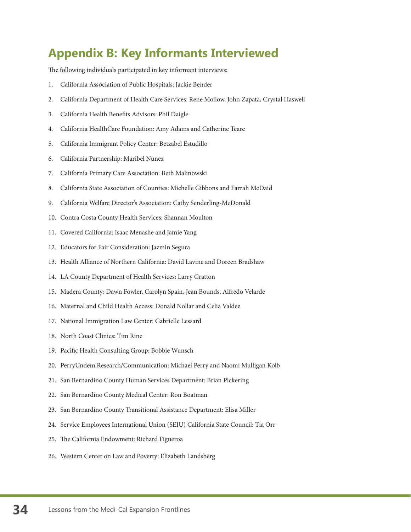# **Appendix B: Key Informants Interviewed**

The following individuals participated in key informant interviews:

- 1. California Association of Public Hospitals: Jackie Bender
- 2. California Department of Health Care Services: Rene Mollow, John Zapata, Crystal Haswell
- 3. California Health Benefits Advisors: Phil Daigle
- 4. California HealthCare Foundation: Amy Adams and Catherine Teare
- 5. California Immigrant Policy Center: Betzabel Estudillo
- 6. California Partnership: Maribel Nunez
- 7. California Primary Care Association: Beth Malinowski
- 8. California State Association of Counties: Michelle Gibbons and Farrah McDaid
- 9. California Welfare Director's Association: Cathy Senderling-McDonald
- 10. Contra Costa County Health Services: Shannan Moulton
- 11. Covered California: Isaac Menashe and Jamie Yang
- 12. Educators for Fair Consideration: Jazmin Segura
- 13. Health Alliance of Northern California: David Lavine and Doreen Bradshaw
- 14. LA County Department of Health Services: Larry Gratton
- 15. Madera County: Dawn Fowler, Carolyn Spain, Jean Bounds, Alfredo Velarde
- 16. Maternal and Child Health Access: Donald Nollar and Celia Valdez
- 17. National Immigration Law Center: Gabrielle Lessard
- 18. North Coast Clinics: Tim Rine
- 19. Pacific Health Consulting Group: Bobbie Wunsch
- 20. PerryUndem Research/Communication: Michael Perry and Naomi Mulligan Kolb
- 21. San Bernardino County Human Services Department: Brian Pickering
- 22. San Bernardino County Medical Center: Ron Boatman
- 23. San Bernardino County Transitional Assistance Department: Elisa Miller
- 24. Service Employees International Union (SEIU) California State Council: Tia Orr
- 25. The California Endowment: Richard Figueroa
- 26. Western Center on Law and Poverty: Elizabeth Landsberg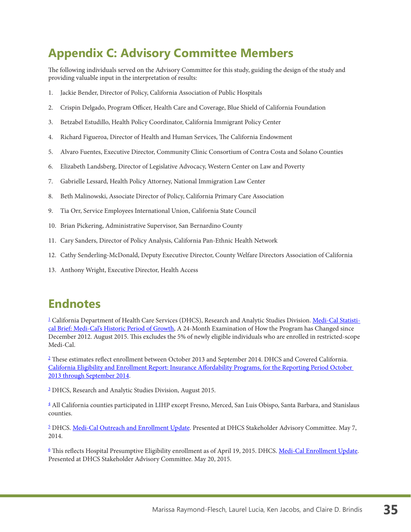# **Appendix C: Advisory Committee Members**

The following individuals served on the Advisory Committee for this study, guiding the design of the study and providing valuable input in the interpretation of results:

- 1. Jackie Bender, Director of Policy, California Association of Public Hospitals
- 2. Crispin Delgado, Program Officer, Health Care and Coverage, Blue Shield of California Foundation
- 3. Betzabel Estudillo, Health Policy Coordinator, California Immigrant Policy Center
- 4. Richard Figueroa, Director of Health and Human Services, The California Endowment
- 5. Alvaro Fuentes, Executive Director, Community Clinic Consortium of Contra Costa and Solano Counties
- 6. Elizabeth Landsberg, Director of Legislative Advocacy, Western Center on Law and Poverty
- 7. Gabrielle Lessard, Health Policy Attorney, National Immigration Law Center
- 8. Beth Malinowski, Associate Director of Policy, California Primary Care Association
- 9. Tia Orr, Service Employees International Union, California State Council
- 10. Brian Pickering, Administrative Supervisor, San Bernardino County
- 11. Cary Sanders, Director of Policy Analysis, California Pan-Ethnic Health Network
- 12. Cathy Senderling-McDonald, Deputy Executive Director, County Welfare Directors Association of California
- 13. Anthony Wright, Executive Director, Health Access

# **Endnotes**

<span id="page-34-0"></span><sup>[1](#page-5-0)</sup> California Department of Health Care Services (DHCS), Research and Analytic Studies Division. <u>Medi-Cal Statisti-</u> [cal Brief: Medi-Cal's Historic Period of Growth](http://www.dhcs.ca.gov/dataandstats/statistics/Documents/New_24_Month_Examination.pdf), A 24-Month Examination of How the Program has Changed since December 2012. August 2015. This excludes the 5% of newly eligible individuals who are enrolled in restricted-scope Medi-Cal.

<span id="page-34-1"></span> $^2$  $^2$  These estimates reflect enrollment between October 2013 and September 2014. DHCS and Covered California. [California Eligibility and Enrollment Report: Insurance Affordability Programs, for the Reporting Period October](http://www.dhcs.ca.gov/formsandpubs/Documents/Legislative%20Reports/CA_EligibilityandEnroll_ABx1_1-Quarterly.pdf)  [2013 through September 2014](http://www.dhcs.ca.gov/formsandpubs/Documents/Legislative%20Reports/CA_EligibilityandEnroll_ABx1_1-Quarterly.pdf).

<span id="page-34-2"></span><sup>[3](#page-5-2)</sup> DHCS, Research and Analytic Studies Division, August 2015.

<span id="page-34-3"></span>[4](#page-5-3) All California counties participated in LIHP except Fresno, Merced, San Luis Obispo, Santa Barbara, and Stanislaus counties.

<span id="page-34-4"></span> $^5$  $^5$  DHCS. <u>Medi-Cal Outreach and Enrollment Update</u>. Presented at DHCS Stakeholder Advisory Committee. May 7, 2014.

<span id="page-34-5"></span><sup>[6](#page-5-5)</sup> This reflects Hospital Presumptive Eligibility enrollment as of April 19, 2015. DHCS. [Medi-Cal Enrollment Update.](http://www.dhcs.ca.gov/Documents/Medi-CalEnrollmentSACMay2015.pdf) Presented at DHCS Stakeholder Advisory Committee. May 20, 2015.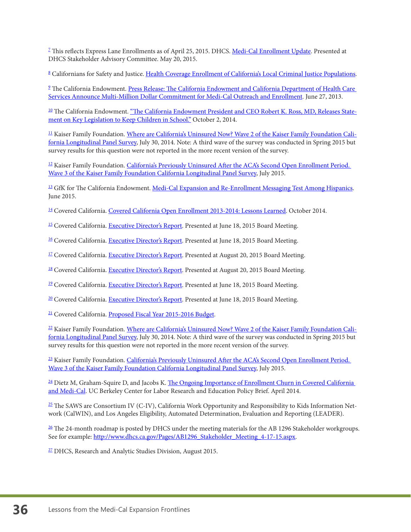<span id="page-35-0"></span><sup>[7](#page-5-6)</sup> This reflects Express Lane Enrollments as of April 25, 2015. DHCS. [Medi-Cal Enrollment Update](http://www.dhcs.ca.gov/Documents/Medi-CalEnrollmentSACMay2015.pdf). Presented at DHCS Stakeholder Advisory Committee. May 20, 2015.

<span id="page-35-1"></span><sup>[8](#page-5-7)</sup> Californians for Safety and Justice. [Health Coverage Enrollment of California's Local Criminal Justice Populations.](http://libcloud.s3.amazonaws.com/211/ac/6/484/CountyEnrollmentSurvey_singles.pdf)

<span id="page-35-2"></span> $^9$  $^9$  The California Endowment. <u>Press Release: The California Endowment and California Department of Health Care</u> [Services Announce Multi-Million Dollar Commitment for Medi-Cal Outreach and Enrollment.](http://tcenews.calendow.org/releases/the-california-endowment-and-california-department-of-health-care-services-announce-multi-million-dollar-commitment-for-medi-cal-outreach-and-enrollment) June 27, 2013.

<span id="page-35-3"></span><sup>[10](#page-6-1)</sup> The California Endowment. ["The California Endowment President and CEO Robert K. Ross, MD, Releases State](http://tcenews.calendow.org/releases/the-california-endowment-president-and-ceo-dr-robert-ross-releases-statement-on-key-legislation-to-keep-children-in-school)[ment on Key Legislation to Keep Children in School."](http://tcenews.calendow.org/releases/the-california-endowment-president-and-ceo-dr-robert-ross-releases-statement-on-key-legislation-to-keep-children-in-school) October 2, 2014.

<span id="page-35-4"></span>[11](#page-6-2) Kaiser Family Foundation. [Where are California's Uninsured Now? Wave 2 of the Kaiser Family Foundation Cali](http://kff.org/health-reform/report/where-are-californias-uninsured-now-wave-2-of-the-kaiser-family-foundation-california-longitudinal-panel-survey/)[fornia Longitudinal Panel Survey](http://kff.org/health-reform/report/where-are-californias-uninsured-now-wave-2-of-the-kaiser-family-foundation-california-longitudinal-panel-survey/), July 30, 2014. Note: A third wave of the survey was conducted in Spring 2015 but survey results for this question were not reported in the more recent version of the survey.

<span id="page-35-5"></span><sup>[12](#page-6-3)</sup> Kaiser Family Foundation. California's Previously Uninsured After the ACA's Second Open Enrollment Period. [Wave 3 of the Kaiser Family Foundation California Longitudinal Panel Survey,](http://kff.org/health-reform/report/californias-previously-uninsured-after-the-acas-second-open-enrollment-period/) July 2015.

<span id="page-35-6"></span><sup>[13](#page-6-4)</sup> GfK for The California Endowment. [Medi-Cal Expansion and Re-Enrollment Messaging Test Among Hispanics.](https://www.dropbox.com/s/eonp3joznrpsfg4/ACA%20Medi-Cal%20Expansion%20Msg%20Test_Webinar_082715_FINAL.pdf?dl=0 ) June 2015.

<span id="page-35-7"></span><sup>[14](#page-7-0)</sup> Covered California. [Covered California Open Enrollment 2013-2014: Lessons Learned.](https://www.coveredca.com/PDFs/10-14-2014-Lessons-Learned-final.pdf) October 2014.

<span id="page-35-8"></span>[15](#page-7-1) Covered California. [Executive Director's Report](http://board.coveredca.com/meetings/2015/6-18/PPT%20-%20Executive%20Director%27s%20Report_June%2018%202015.pdf). Presented at June 18, 2015 Board Meeting.

<span id="page-35-9"></span><sup>[16](#page-7-2)</sup> Covered California. [Executive Director's Report](http://board.coveredca.com/meetings/2015/6-18/PPT%20-%20Executive%20Director%27s%20Report_June%2018%202015.pdf). Presented at June 18, 2015 Board Meeting.

<span id="page-35-10"></span><sup>[17](#page-7-3)</sup> Covered California. [Executive Director's Report](http://board.coveredca.com/meetings/2015/8-20/PPT%20-%20Executive%20Director). Presented at August 20, 2015 Board Meeting.

<span id="page-35-11"></span><sup>[18](#page-7-4)</sup> Covered California. [Executive Director's Report](http://board.coveredca.com/meetings/2015/8-20/PPT%20-%20Executive%20Director). Presented at August 20, 2015 Board Meeting.

<span id="page-35-14"></span><sup>[19](#page-8-0)</sup> Covered California. [Executive Director's Report](http://board.coveredca.com/meetings/2015/6-18/PPT%20-%20Executive%20Director%27s%20Report_June%2018%202015.pdf). Presented at June 18, 2015 Board Meeting.

<span id="page-35-15"></span><sup>[20](#page-8-1)</sup> Covered California. [Executive Director's Report](http://board.coveredca.com/meetings/2015/6-18/PPT%20-%20Executive%20Director%27s%20Report_June%2018%202015.pdf). Presented at June 18, 2015 Board Meeting.

<span id="page-35-16"></span><sup>[21](#page-8-2)</sup> Covered California. [Proposed Fiscal Year 2015-2016 Budget](http://board.coveredca.com/meetings/2015/5-21/2015-16-Covered-CA-Budget-Summary-FINAL.pdf).

<span id="page-35-12"></span><sup>[22](#page-8-3)</sup> Kaiser Family Foundation. [Where are California's Uninsured Now? Wave 2 of the Kaiser Family Foundation Cali](http://kff.org/health-reform/report/where-are-californias-uninsured-now-wave-2-of-the-kaiser-family-foundation-california-longitudinal-panel-survey/)[fornia Longitudinal Panel Survey](http://kff.org/health-reform/report/where-are-californias-uninsured-now-wave-2-of-the-kaiser-family-foundation-california-longitudinal-panel-survey/), July 30, 2014. Note: A third wave of the survey was conducted in Spring 2015 but survey results for this question were not reported in the more recent version of the survey.

<span id="page-35-13"></span><sup>[23](#page-8-4)</sup> Kaiser Family Foundation. California's Previously Uninsured After the ACA's Second Open Enrollment Period. [Wave 3 of the Kaiser Family Foundation California Longitudinal Panel Survey,](http://kff.org/health-reform/report/californias-previously-uninsured-after-the-acas-second-open-enrollment-period/) July 2015.

<span id="page-35-17"></span><sup>[24](#page-9-0)</sup> Dietz M, Graham-Squire D, and Jacobs K. The Ongoing Importance of Enrollment Churn in Covered California [and Medi-Cal](http://laborcenter.berkeley.edu/pdf/2014/churn_enrollment.pdf). UC Berkeley Center for Labor Research and Education Policy Brief. April 2014.

<span id="page-35-18"></span>[25](#page-9-1) The SAWS are Consortium IV (C-IV), California Work Opportunity and Responsibility to Kids Information Network (CalWIN), and Los Angeles Eligibility, Automated Determination, Evaluation and Reporting (LEADER).

<span id="page-35-19"></span><sup>[26](#page-9-2)</sup> The 24-month roadmap is posted by DHCS under the meeting materials for the AB 1296 Stakeholder workgroups. See for example: [http://www.dhcs.ca.gov/Pages/AB1296\\_Stakeholder\\_Meeting\\_4-17-15.aspx](http://www.dhcs.ca.gov/Pages/AB1296_Stakeholder_Meeting_4-17-15.aspx).

<span id="page-35-20"></span><sup>[27](#page-9-3)</sup> DHCS, Research and Analytic Studies Division, August 2015.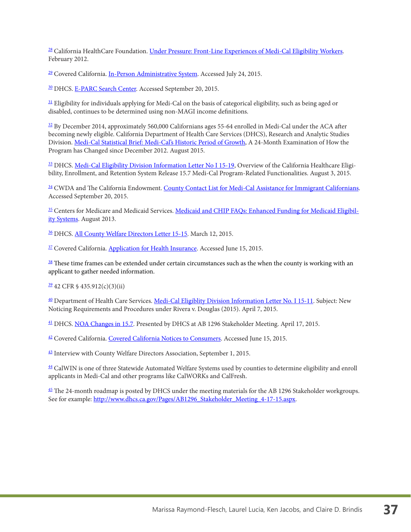<span id="page-36-0"></span><sup>[28](#page-13-0)</sup> California HealthCare Foundation. [Under Pressure: Front-Line Experiences of Medi-Cal Eligibility Workers.](http://www.chcf.org/publications/2012/02/under-pressure-eligibility-workers) February 2012.

<span id="page-36-1"></span><sup>[29](#page-13-1)</sup> Covered California. **[In-Person Administrative System](https://assisters.ccgrantsandassisters.org/)**. Accessed July 24, 2015.

<span id="page-36-2"></span>[30](#page-13-2) DHCS. [E-PARC Search Center.](http://www.e-parc.ca.gov/adv/Search/Pages/default.aspx) Accessed September 20, 2015.

<span id="page-36-3"></span><sup>[31](#page-14-0)</sup> Eligibility for individuals applying for Medi-Cal on the basis of categorical eligibility, such as being aged or disabled, continues to be determined using non-MAGI income definitions.

<span id="page-36-4"></span> $32$  By December 2014, approximately 560,000 Californians ages 55-64 enrolled in Medi-Cal under the ACA after becoming newly eligible. California Department of Health Care Services (DHCS), Research and Analytic Studies Division. [Medi-Cal Statistical Brief: Medi-Cal's Historic Period of Growth](http://www.dhcs.ca.gov/dataandstats/statistics/Documents/New_24_Month_Examination.pdf), A 24-Month Examination of How the Program has Changed since December 2012. August 2015.

<span id="page-36-5"></span><sup>[33](#page-16-1)</sup> DHCS. [Medi-Cal Eligibility Division Information Letter No I 15-19](http://www.dhcs.ca.gov/services/medi-cal/eligibility/Documents/MEDIL2015/MEDIL15-19.pdf), Overview of the California Healthcare Eligibility, Enrollment, and Retention System Release 15.7 Medi-Cal Program-Related Functionalities. August 3, 2015.

<span id="page-36-6"></span><sup>[34](#page-18-0)</sup> CWDA and The California Endowment. [County Contact List for Medi-Cal Assistance for Immigrant Californians.](https://drive.google.com/file/d/0B3wqIdHTL0moRTA3UUFoTDFubHc/view) Accessed September 20, 2015.

<span id="page-36-7"></span><sup>[35](#page-18-1)</sup> Centers for Medicare and Medicaid Services. [Medicaid and CHIP FAQs: Enhanced Funding for Medicaid Eligibil](http://www.medicaid.gov/State-Resource-Center/FAQ-Medicaid-and-CHIP-Affordable-Care-Act-Implementation/Downloads/FAQs-by-Topic-75-25-Eligibility-Systems.pdf)[ity Systems](http://www.medicaid.gov/State-Resource-Center/FAQ-Medicaid-and-CHIP-Affordable-Care-Act-Implementation/Downloads/FAQs-by-Topic-75-25-Eligibility-Systems.pdf). August 2013.

<span id="page-36-8"></span>[36](#page-22-1) DHCS. [All County Welfare Directors Letter 15-15](http://www.dhcs.ca.gov/services/medi-cal/eligibility/Documents/ACWDL2015/ACWDL15-15.pdf). March 12, 2015.

<span id="page-36-9"></span><sup>[37](#page-24-1)</sup> Covered California. [Application for Health Insurance](http://www.coveredca.com/PDFs/paper-application/CA-SingleStreamApp_92MAX.pdf). Accessed June 15, 2015.

<span id="page-36-10"></span><sup>[38](#page-24-2)</sup> These time frames can be extended under certain circumstances such as the when the county is working with an applicant to gather needed information.

<span id="page-36-11"></span> $\frac{39}{2}$  $\frac{39}{2}$  $\frac{39}{2}$  42 CFR § 435.912(c)(3)(ii)

<span id="page-36-12"></span>[40](#page-24-4) Department of Health Care Services. [Medi-Cal Eligiblity Division Information Letter No. I 15-11.](http://www.dhcs.ca.gov/services/medi-cal/eligibility/Documents/MEDIL2015/MEDIL15-11.pdf) Subject: New Noticing Requirements and Procedures under Rivera v. Douglas (2015). April 7, 2015.

<span id="page-36-13"></span>[41](#page-25-0) DHCS. [NOA Changes in 15.7](http://www.dhcs.ca.gov/Pages/AB1296_Stakeholder_Meeting_4-17-15.aspx). Presented by DHCS at AB 1296 Stakeholder Meeting. April 17, 2015.

<span id="page-36-14"></span>[42](#page-25-1) Covered California. [Covered California Notices to Consumers.](http://www.coveredca.com/notices/) Accessed June 15, 2015.

<span id="page-36-15"></span><sup>[43](#page-25-2)</sup> Interview with County Welfare Directors Association, September 1, 2015.

<span id="page-36-16"></span>[44](#page-26-0) CalWIN is one of three Statewide Automated Welfare Systems used by counties to determine eligibility and enroll applicants in Medi-Cal and other programs like CalWORKs and CalFresh.

<span id="page-36-17"></span> $45$  The 24-month roadmap is posted by DHCS under the meeting materials for the AB 1296 Stakeholder workgroups. See for example: [http://www.dhcs.ca.gov/Pages/AB1296\\_Stakeholder\\_Meeting\\_4-17-15.aspx](http://www.dhcs.ca.gov/Pages/AB1296_Stakeholder_Meeting_4-17-15.aspx).